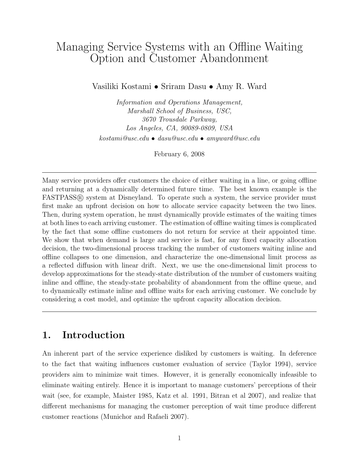# Managing Service Systems with an Offline Waiting Option and Customer Abandonment

Vasiliki Kostami *•* Sriram Dasu *•* Amy R. Ward

*Information and Operations Management, Marshall School of Business, USC, 3670 Trousdale Parkway, Los Angeles, CA, 90089-0809, USA kostami@usc.edu • dasu@usc.edu • amyward@usc.edu*

February 6, 2008

Many service providers offer customers the choice of either waiting in a line, or going offline and returning at a dynamically determined future time. The best known example is the  $FASTPASS@$  system at Disneyland. To operate such a system, the service provider must first make an upfront decision on how to allocate service capacity between the two lines. Then, during system operation, he must dynamically provide estimates of the waiting times at both lines to each arriving customer. The estimation of offline waiting times is complicated by the fact that some offline customers do not return for service at their appointed time. We show that when demand is large and service is fast, for any fixed capacity allocation decision, the two-dimensional process tracking the number of customers waiting inline and offline collapses to one dimension, and characterize the one-dimensional limit process as a reflected diffusion with linear drift. Next, we use the one-dimensional limit process to develop approximations for the steady-state distribution of the number of customers waiting inline and offline, the steady-state probability of abandonment from the offline queue, and to dynamically estimate inline and offline waits for each arriving customer. We conclude by considering a cost model, and optimize the upfront capacity allocation decision.

# 1. Introduction

An inherent part of the service experience disliked by customers is waiting. In deference to the fact that waiting influences customer evaluation of service (Taylor 1994), service providers aim to minimize wait times. However, it is generally economically infeasible to eliminate waiting entirely. Hence it is important to manage customers' perceptions of their wait (see, for example, Maister 1985, Katz et al. 1991, Bitran et al 2007), and realize that different mechanisms for managing the customer perception of wait time produce different customer reactions (Munichor and Rafaeli 2007).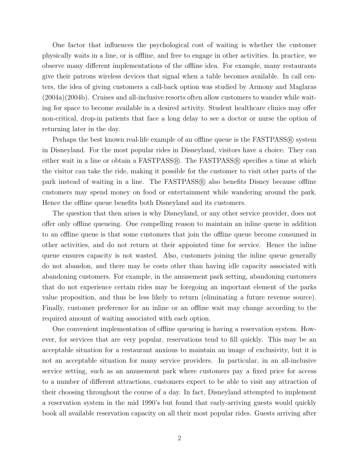One factor that influences the psychological cost of waiting is whether the customer physically waits in a line, or is offline, and free to engage in other activities. In practice, we observe many different implementations of the offline idea. For example, many restaurants give their patrons wireless devices that signal when a table becomes available. In call centers, the idea of giving customers a call-back option was studied by Armony and Maglaras (2004a)(2004b). Cruises and all-inclusive resorts often allow customers to wander while waiting for space to become available in a desired activity. Student healthcare clinics may offer non-critical, drop-in patients that face a long delay to see a doctor or nurse the option of returning later in the day.

Perhaps the best known real-life example of an offline queue is the FASTPASS® system in Disneyland. For the most popular rides in Disneyland, visitors have a choice. They can either wait in a line or obtain a  $FASTPASS@$ . The  $FASTPASS@$  specifies a time at which the visitor can take the ride, making it possible for the customer to visit other parts of the park instead of waiting in a line. The  $FASTPASS@$  also benefits Disney because offline customers may spend money on food or entertainment while wandering around the park. Hence the offline queue benefits both Disneyland and its customers.

The question that then arises is why Disneyland, or any other service provider, does not offer only offline queueing. One compelling reason to maintain an inline queue in addition to an offline queue is that some customers that join the offline queue become consumed in other activities, and do not return at their appointed time for service. Hence the inline queue ensures capacity is not wasted. Also, customers joining the inline queue generally do not abandon, and there may be costs other than having idle capacity associated with abandoning customers. For example, in the amusement park setting, abandoning customers that do not experience certain rides may be foregoing an important element of the parks value proposition, and thus be less likely to return (eliminating a future revenue source). Finally, customer preference for an inline or an offline wait may change according to the required amount of waiting associated with each option.

One convenient implementation of offline queueing is having a reservation system. However, for services that are very popular, reservations tend to fill quickly. This may be an acceptable situation for a restaurant anxious to maintain an image of exclusivity, but it is not an acceptable situation for many service providers. In particular, in an all-inclusive service setting, such as an amusement park where customers pay a fixed price for access to a number of diÆerent attractions, customers expect to be able to visit any attraction of their choosing throughout the course of a day. In fact, Disneyland attempted to implement a reservation system in the mid 1990's but found that early-arriving guests would quickly book all available reservation capacity on all their most popular rides. Guests arriving after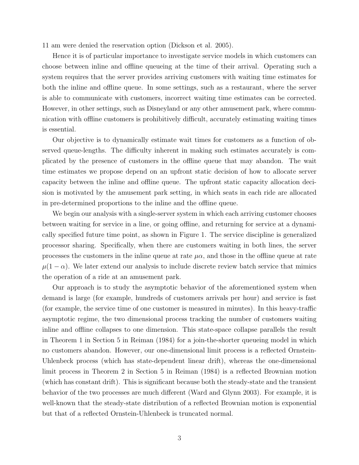11 am were denied the reservation option (Dickson et al. 2005).

Hence it is of particular importance to investigate service models in which customers can choose between inline and offline queueing at the time of their arrival. Operating such a system requires that the server provides arriving customers with waiting time estimates for both the inline and offline queue. In some settings, such as a restaurant, where the server is able to communicate with customers, incorrect waiting time estimates can be corrected. However, in other settings, such as Disneyland or any other amusement park, where communication with offline customers is prohibitively difficult, accurately estimating waiting times is essential.

Our objective is to dynamically estimate wait times for customers as a function of observed queue-lengths. The difficulty inherent in making such estimates accurately is complicated by the presence of customers in the offline queue that may abandon. The wait time estimates we propose depend on an upfront static decision of how to allocate server capacity between the inline and offline queue. The upfront static capacity allocation decision is motivated by the amusement park setting, in which seats in each ride are allocated in pre-determined proportions to the inline and the offline queue.

We begin our analysis with a single-server system in which each arriving customer chooses between waiting for service in a line, or going offline, and returning for service at a dynamically specified future time point, as shown in Figure 1. The service discipline is generalized processor sharing. Specifically, when there are customers waiting in both lines, the server processes the customers in the inline queue at rate  $\mu\alpha$ , and those in the offline queue at rate  $\mu(1 - \alpha)$ . We later extend our analysis to include discrete review batch service that mimics the operation of a ride at an amusement park.

Our approach is to study the asymptotic behavior of the aforementioned system when demand is large (for example, hundreds of customers arrivals per hour) and service is fast (for example, the service time of one customer is measured in minutes). In this heavy-traffic asymptotic regime, the two dimensional process tracking the number of customers waiting inline and offline collapses to one dimension. This state-space collapse parallels the result in Theorem 1 in Section 5 in Reiman (1984) for a join-the-shorter queueing model in which no customers abandon. However, our one-dimensional limit process is a reflected Ornstein-Uhlenbeck process (which has state-dependent linear drift), whereas the one-dimensional limit process in Theorem 2 in Section 5 in Reiman (1984) is a reflected Brownian motion (which has constant drift). This is significant because both the steady-state and the transient behavior of the two processes are much different (Ward and Glynn 2003). For example, it is well-known that the steady-state distribution of a reflected Brownian motion is exponential but that of a reflected Ornstein-Uhlenbeck is truncated normal.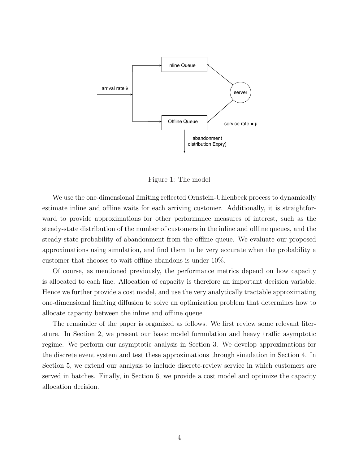

Figure 1: The model

We use the one-dimensional limiting reflected Ornstein-Uhlenbeck process to dynamically estimate inline and offline waits for each arriving customer. Additionally, it is straightforward to provide approximations for other performance measures of interest, such as the steady-state distribution of the number of customers in the inline and offline queues, and the steady-state probability of abandonment from the offline queue. We evaluate our proposed approximations using simulation, and find them to be very accurate when the probability a customer that chooses to wait offline abandons is under  $10\%$ .

Of course, as mentioned previously, the performance metrics depend on how capacity is allocated to each line. Allocation of capacity is therefore an important decision variable. Hence we further provide a cost model, and use the very analytically tractable approximating one-dimensional limiting diffusion to solve an optimization problem that determines how to allocate capacity between the inline and offline queue.

The remainder of the paper is organized as follows. We first review some relevant literature. In Section 2, we present our basic model formulation and heavy traffic asymptotic regime. We perform our asymptotic analysis in Section 3. We develop approximations for the discrete event system and test these approximations through simulation in Section 4. In Section 5, we extend our analysis to include discrete-review service in which customers are served in batches. Finally, in Section 6, we provide a cost model and optimize the capacity allocation decision.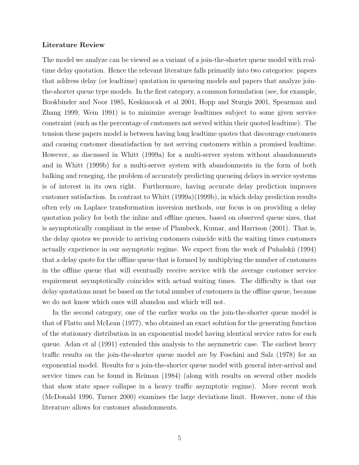### Literature Review

The model we analyze can be viewed as a variant of a join-the-shorter queue model with realtime delay quotation. Hence the relevant literature falls primarily into two categories: papers that address delay (or leadtime) quotation in queueing models and papers that analyze jointhe-shorter queue type models. In the first category, a common formulation (see, for example, Bookbinder and Noor 1985, Keskinocak et al 2001, Hopp and Sturgis 2001, Spearman and Zhang 1999, Wein 1991) is to minimize average leadtimes subject to some given service constraint (such as the percentage of customers not served within their quoted leadtime). The tension these papers model is between having long leadtime quotes that discourage customers and causing customer dissatisfaction by not serving customers within a promised leadtime. However, as discussed in Whitt (1999a) for a multi-server system without abandonments and in Whitt (1999b) for a multi-server system with abandonments in the form of both balking and reneging, the problem of accurately predicting queueing delays in service systems is of interest in its own right. Furthermore, having accurate delay prediction improves customer satisfaction. In contrast to Whitt (1999a)(1999b), in which delay prediction results often rely on Laplace transformation inversion methods, our focus is on providing a delay quotation policy for both the inline and offline queues, based on observed queue sizes, that is asymptotically compliant in the sense of Plambeck, Kumar, and Harrison (2001). That is, the delay quotes we provide to arriving customers coincide with the waiting times customers actually experience in our asymptotic regime. We expect from the work of Puhalskii (1994) that a delay quote for the offline queue that is formed by multiplying the number of customers in the offline queue that will eventually receive service with the average customer service requirement asymptotically coincides with actual waiting times. The difficulty is that our delay quotations must be based on the total number of customers in the offline queue, because we do not know which ones will abandon and which will not.

In the second category, one of the earlier works on the join-the-shorter queue model is that of Flatto and McLean (1977), who obtained an exact solution for the generating function of the stationary distribution in an exponential model having identical service rates for each queue. Adan et al (1991) extended this analysis to the asymmetric case. The earliest heavy traffic results on the join-the-shorter queue model are by Foschini and Salz (1978) for an exponential model. Results for a join-the-shorter queue model with general inter-arrival and service times can be found in Reiman (1984) (along with results on several other models that show state space collapse in a heavy traffic asymptotic regime). More recent work (McDonald 1996, Turner 2000) examines the large deviations limit. However, none of this literature allows for customer abandonments.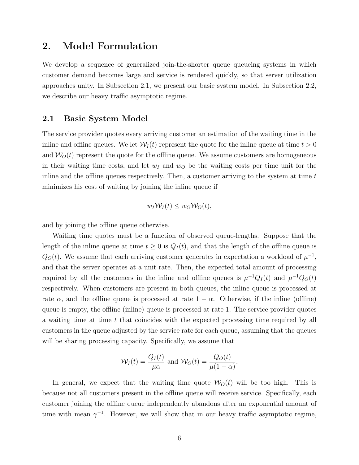# 2. Model Formulation

We develop a sequence of generalized join-the-shorter queue queueing systems in which customer demand becomes large and service is rendered quickly, so that server utilization approaches unity. In Subsection 2.1, we present our basic system model. In Subsection 2.2, we describe our heavy traffic asymptotic regime.

### 2.1 Basic System Model

The service provider quotes every arriving customer an estimation of the waiting time in the inline and offline queues. We let  $W_I(t)$  represent the quote for the inline queue at time  $t > 0$ and  $W<sub>O</sub>(t)$  represent the quote for the offline queue. We assume customers are homogeneous in their waiting time costs, and let  $w_I$  and  $w_O$  be the waiting costs per time unit for the in line and the offline queues respectively. Then, a customer arriving to the system at time  $t$ minimizes his cost of waiting by joining the inline queue if

$$
w_I \mathcal{W}_I(t) \leq w_O \mathcal{W}_O(t),
$$

and by joining the offline queue otherwise.

Waiting time quotes must be a function of observed queue-lengths. Suppose that the length of the inline queue at time  $t \geq 0$  is  $Q_I(t)$ , and that the length of the offline queue is  $Q_O(t)$ . We assume that each arriving customer generates in expectation a workload of  $\mu^{-1}$ , and that the server operates at a unit rate. Then, the expected total amount of processing required by all the customers in the inline and offline queues is  $\mu^{-1}Q_I(t)$  and  $\mu^{-1}Q_O(t)$ respectively. When customers are present in both queues, the inline queue is processed at rate  $\alpha$ , and the offline queue is processed at rate  $1 - \alpha$ . Otherwise, if the inline (offline) queue is empty, the offline (inline) queue is processed at rate 1. The service provider quotes a waiting time at time *t* that coincides with the expected processing time required by all customers in the queue adjusted by the service rate for each queue, assuming that the queues will be sharing processing capacity. Specifically, we assume that

$$
\mathcal{W}_I(t) = \frac{Q_I(t)}{\mu \alpha} \text{ and } \mathcal{W}_O(t) = \frac{Q_O(t)}{\mu (1 - \alpha)}.
$$

In general, we expect that the waiting time quote  $W_O(t)$  will be too high. This is because not all customers present in the offline queue will receive service. Specifically, each customer joining the offline queue independently abandons after an exponential amount of time with mean  $\gamma^{-1}$ . However, we will show that in our heavy traffic asymptotic regime,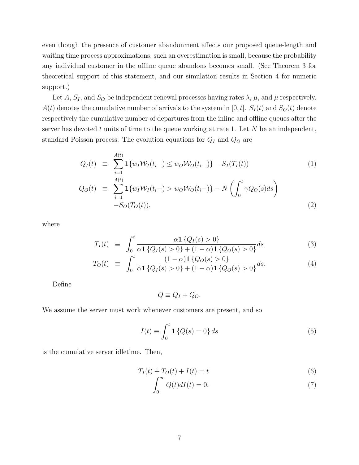even though the presence of customer abandonment affects our proposed queue-length and waiting time process approximations, such an overestimation is small, because the probability any individual customer in the offline queue abandons becomes small. (See Theorem 3 for theoretical support of this statement, and our simulation results in Section 4 for numeric support.)

Let *A*,  $S_I$ , and  $S_O$  be independent renewal processes having rates  $\lambda$ ,  $\mu$ , and  $\mu$  respectively. *A*(*t*) denotes the cumulative number of arrivals to the system in [0, *t*]. *S<sub>I</sub>*(*t*) and *S<sub>O</sub>*(*t*) denote respectively the cumulative number of departures from the inline and offline queues after the server has devoted *t* units of time to the queue working at rate 1. Let *N* be an independent, standard Poisson process. The evolution equations for *Q<sup>I</sup>* and *Q<sup>O</sup>* are

$$
Q_I(t) \equiv \sum_{i=1}^{A(t)} \mathbf{1} \{ w_I \mathcal{W}_I(t_i-) \le w_O \mathcal{W}_O(t_i-) \} - S_I(T_I(t)) \tag{1}
$$

$$
Q_O(t) \equiv \sum_{i=1}^{A(t)} \mathbf{1} \{ w_I \mathcal{W}_I(t_i-) > w_O \mathcal{W}_O(t_i-) \} - N \left( \int_0^t \gamma Q_O(s) ds \right) - S_O(T_O(t)), \tag{2}
$$

where

$$
T_I(t) \equiv \int_0^t \frac{\alpha \mathbf{1} \{Q_I(s) > 0\}}{\alpha \mathbf{1} \{Q_I(s) > 0\} + (1 - \alpha) \mathbf{1} \{Q_O(s) > 0\}} ds
$$
(3)

$$
T_O(t) \equiv \int_0^t \frac{(1-\alpha)\mathbf{1}\{Q_O(s) > 0\}}{\alpha \mathbf{1}\{Q_I(s) > 0\} + (1-\alpha)\mathbf{1}\{Q_O(s) > 0\}} ds. \tag{4}
$$

Define

$$
Q \equiv Q_I + Q_O.
$$

We assume the server must work whenever customers are present, and so

$$
I(t) \equiv \int_0^t \mathbf{1} \left\{ Q(s) = 0 \right\} ds \tag{5}
$$

is the cumulative server idletime. Then,

$$
T_I(t) + T_O(t) + I(t) = t
$$
\n<sup>(6)</sup>

$$
\int_0^\infty Q(t)dI(t) = 0.
$$
\n(7)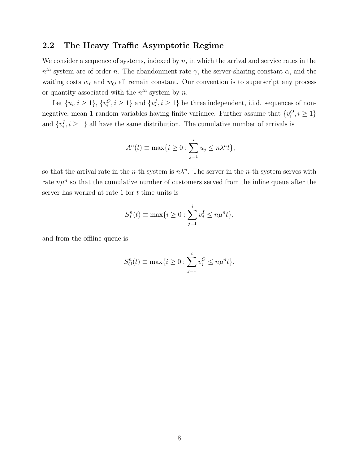## 2.2 The Heavy Traffic Asymptotic Regime

We consider a sequence of systems, indexed by *n*, in which the arrival and service rates in the  $n^{th}$  system are of order *n*. The abandonment rate  $\gamma$ , the server-sharing constant  $\alpha$ , and the waiting costs *w<sup>I</sup>* and *w<sup>O</sup>* all remain constant. Our convention is to superscript any process or quantity associated with the  $n^{th}$  system by  $n$ .

Let  $\{u_i, i \geq 1\}$ ,  $\{v_i^O, i \geq 1\}$  and  $\{v_i^I, i \geq 1\}$  be three independent, i.i.d. sequences of nonnegative, mean 1 random variables having finite variance. Further assume that  $\{v_i^O, i \geq 1\}$ and  $\{v_i^I, i \geq 1\}$  all have the same distribution. The cumulative number of arrivals is

$$
A^{n}(t) \equiv \max\{i \ge 0 : \sum_{j=1}^{i} u_{j} \le n\lambda^{n}t\},\
$$

so that the arrival rate in the *n*-th system is  $n\lambda^n$ . The server in the *n*-th system serves with rate  $n\mu^n$  so that the cumulative number of customers served from the inline queue after the server has worked at rate 1 for *t* time units is

$$
S_I^n(t) \equiv \max\{i \ge 0 : \sum_{j=1}^i v_j^I \le n\mu^n t\},\,
$$

and from the offline queue is

$$
S_O^n(t) \equiv \max\{i \ge 0 : \sum_{j=1}^i v_j^O \le n\mu^n t\}.
$$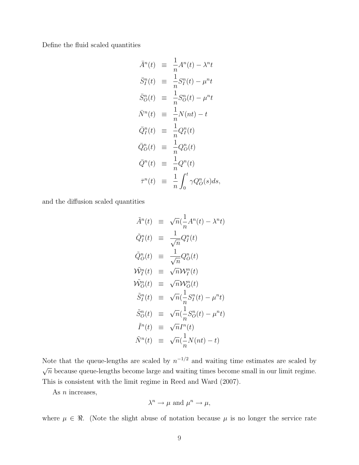Define the fluid scaled quantities

$$
\bar{A}^n(t) \equiv \frac{1}{n} A^n(t) - \lambda^n t
$$
  
\n
$$
\bar{S}_I^n(t) \equiv \frac{1}{n} S_I^n(t) - \mu^n t
$$
  
\n
$$
\bar{S}_O^n(t) \equiv \frac{1}{n} S_O^n(t) - \mu^n t
$$
  
\n
$$
\bar{N}^n(t) \equiv \frac{1}{n} N(nt) - t
$$
  
\n
$$
\bar{Q}_I^n(t) \equiv \frac{1}{n} Q_I^n(t)
$$
  
\n
$$
\bar{Q}_O^n(t) \equiv \frac{1}{n} Q_O^n(t)
$$
  
\n
$$
\bar{Q}_I^n(t) \equiv \frac{1}{n} Q^n(t)
$$
  
\n
$$
\bar{T}^n(t) \equiv \frac{1}{n} \int_0^t \gamma Q_O^n(s) ds,
$$

and the diffusion scaled quantities

$$
\tilde{A}^n(t) \equiv \sqrt{n}(\frac{1}{n}A^n(t) - \lambda^n t)
$$
  
\n
$$
\tilde{Q}_I^n(t) \equiv \frac{1}{\sqrt{n}}Q_I^n(t)
$$
  
\n
$$
\tilde{Q}_O^n(t) \equiv \frac{1}{\sqrt{n}}Q_O^n(t)
$$
  
\n
$$
\tilde{W}_I^n(t) \equiv \sqrt{n}W_I^n(t)
$$
  
\n
$$
\tilde{W}_O^n(t) \equiv \sqrt{n}(\frac{1}{n}S_I^n(t) - \mu^n t)
$$
  
\n
$$
\tilde{S}_O^n(t) \equiv \sqrt{n}(\frac{1}{n}S_O^n(t) - \mu^n t)
$$
  
\n
$$
\tilde{I}^n(t) \equiv \sqrt{n}I^n(t)
$$
  
\n
$$
\tilde{N}^n(t) \equiv \sqrt{n}(\frac{1}{n}N(nt) - t)
$$

Note that the queue-lengths are scaled by  $n^{-1/2}$  and waiting time estimates are scaled by  $\sqrt{n}$  because queue-lengths become large and waiting times become small in our limit regime. This is consistent with the limit regime in Reed and Ward (2007).

As *n* increases,

$$
\lambda^n \to \mu \text{ and } \mu^n \to \mu,
$$

where  $\mu \in \mathbb{R}$ . (Note the slight abuse of notation because  $\mu$  is no longer the service rate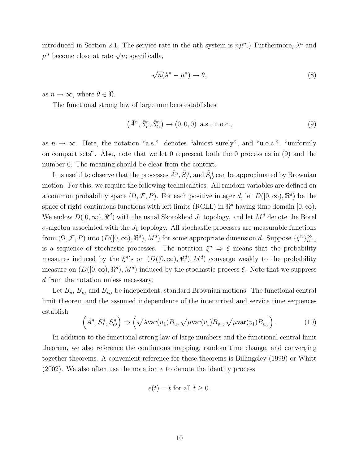introduced in Section 2.1. The service rate in the *n*th system is  $n\mu^n$ .) Furthermore,  $\lambda^n$  and  $\mu^n$  become close at rate  $\sqrt{n}$ ; specifically,

$$
\sqrt{n}(\lambda^n - \mu^n) \to \theta,\tag{8}
$$

as  $n \to \infty$ , where  $\theta \in \Re$ .

The functional strong law of large numbers establishes

$$
(\bar{A}^n, \bar{S}^n_I, \bar{S}^n_O) \to (0, 0, 0) \text{ a.s., u.o.c.,}
$$
\n(9)

as  $n \to \infty$ . Here, the notation "a.s." denotes "almost surely", and "u.o.c.", "uniformly" on compact sets". Also, note that we let 0 represent both the 0 process as in (9) and the number 0. The meaning should be clear from the context.

It is useful to observe that the processes  $\tilde{A}^n$ ,  $\tilde{S}^n_I$ , and  $\tilde{S}^n_O$  can be approximated by Brownian motion. For this, we require the following technicalities. All random variables are defined on a common probability space  $(\Omega, \mathcal{F}, P)$ . For each positive integer *d*, let  $D([0, \infty), \mathbb{R}^d)$  be the space of right continuous functions with left limits (RCLL) in  $\mathbb{R}^d$  having time domain  $[0, \infty)$ . We endow  $D([0,\infty), \mathbb{R}^d)$  with the usual Skorokhod  $J_1$  topology, and let  $M^d$  denote the Borel  $\sigma$ -algebra associated with the  $J_1$  topology. All stochastic processes are measurable functions from  $(\Omega, \mathcal{F}, P)$  into  $(D([0, \infty), \mathbb{R}^d), M^d)$  for some appropriate dimension *d*. Suppose  $\{\xi^n\}_{n=1}^{\infty}$ is a sequence of stochastic processes. The notation  $\xi^n \Rightarrow \xi$  means that the probability measures induced by the  $\xi^{n}$ 's on  $(D([0,\infty), \mathbb{R}^{d}), M^{d})$  converge weakly to the probability measure on  $(D([0,\infty), \mathbb{R}^d), M^d)$  induced by the stochastic process  $\xi$ . Note that we suppress *d* from the notation unless necessary.

Let  $B_u$ ,  $B_{v_I}$  and  $B_{v_O}$  be independent, standard Brownian motions. The functional central limit theorem and the assumed independence of the interarrival and service time sequences establish

$$
\left(\tilde{A}^n, \tilde{S}_I^n, \tilde{S}_O^n\right) \Rightarrow \left(\sqrt{\lambda \text{var}(u_1)} B_u, \sqrt{\mu \text{var}(v_1)} B_{v_I}, \sqrt{\mu \text{var}(v_1)} B_{v_O}\right). \tag{10}
$$

In addition to the functional strong law of large numbers and the functional central limit theorem, we also reference the continuous mapping, random time change, and converging together theorems. A convenient reference for these theorems is Billingsley (1999) or Whitt (2002). We also often use the notation *e* to denote the identity process

$$
e(t) = t \text{ for all } t \ge 0.
$$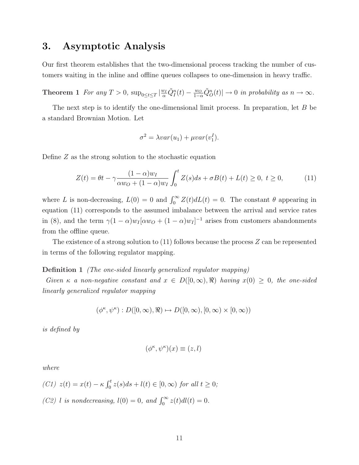# 3. Asymptotic Analysis

Our first theorem establishes that the two-dimensional process tracking the number of customers waiting in the inline and offline queues collapses to one-dimension in heavy traffic.

**Theorem 1** For any  $T > 0$ ,  $\sup_{0 \le t \le T} |\frac{w_I}{\alpha} \tilde{Q}_I^n(t) - \frac{w_O}{1-\alpha} \tilde{Q}_O^n(t)| \to 0$  in probability as  $n \to \infty$ .

The next step is to identify the one-dimensional limit process. In preparation, let *B* be a standard Brownian Motion. Let

$$
\sigma^2 = \lambda var(u_1) + \mu var(v_1^I).
$$

Define *Z* as the strong solution to the stochastic equation

$$
Z(t) = \theta t - \gamma \frac{(1 - \alpha)w_I}{\alpha w_O + (1 - \alpha)w_I} \int_0^t Z(s)ds + \sigma B(t) + L(t) \ge 0, \ t \ge 0,
$$
 (11)

where *L* is non-decreasing,  $L(0) = 0$  and  $\int_0^\infty Z(t) dL(t) = 0$ . The constant  $\theta$  appearing in equation (11) corresponds to the assumed imbalance between the arrival and service rates in (8), and the term  $\gamma (1 - \alpha) w_I [\alpha w_O + (1 - \alpha) w_I]^{-1}$  arises from customers abandonments from the offline queue.

The existence of a strong solution to (11) follows because the process *Z* can be represented in terms of the following regulator mapping.

### Definition 1 *(The one-sided linearly generalized regulator mapping)*

*Given*  $\kappa$  *a non-negative constant and*  $x \in D([0,\infty),\mathbb{R})$  *having*  $x(0) \geq 0$ *, the one-sided linearly generalized regulator mapping*

$$
(\phi^\kappa,\psi^\kappa):D([0,\infty),\Re)\mapsto D([0,\infty),[0,\infty)\times[0,\infty))
$$

*is defined by*

$$
(\phi^{\kappa}, \psi^{\kappa})(x) \equiv (z, l)
$$

*where*

\n- (C1) 
$$
z(t) = x(t) - \kappa \int_0^t z(s)ds + l(t) \in [0, \infty)
$$
 for all  $t \geq 0$ ;
\n- (C2)  $l$  is nondecreasing,  $l(0) = 0$ , and  $\int_0^\infty z(t)dl(t) = 0$ .
\n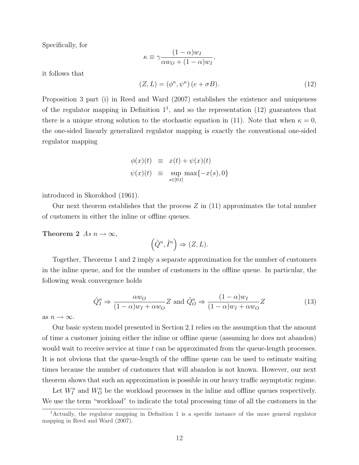Specifically, for

$$
\kappa \equiv \gamma \frac{(1-\alpha)w_I}{\alpha w_O + (1-\alpha)w_I}
$$

it follows that

$$
(Z, L) = (\phi^{\kappa}, \psi^{\kappa}) (e + \sigma B). \tag{12}
$$

*,*

Proposition 3 part (i) in Reed and Ward (2007) establishes the existence and uniqueness of the regulator mapping in Definition  $1^1$ , and so the representation  $(12)$  guarantees that there is a unique strong solution to the stochastic equation in (11). Note that when  $\kappa = 0$ , the one-sided linearly generalized regulator mapping is exactly the conventional one-sided regulator mapping

$$
\begin{array}{rcl}\n\phi(x)(t) & \equiv & x(t) + \psi(x)(t) \\
\psi(x)(t) & \equiv & \sup_{s \in [0,t]} \max\{-x(s), 0\}\n\end{array}
$$

introduced in Skorokhod (1961).

Our next theorem establishes that the process *Z* in (11) approximates the total number of customers in either the inline or offline queues.

**Theorem 2** As  $n \to \infty$ ,

$$
(\tilde{Q}^n, \tilde{I}^n) \Rightarrow (Z, L).
$$

Together, Theorems 1 and 2 imply a separate approximation for the number of customers in the inline queue, and for the number of customers in the offline queue. In particular, the following weak convergence holds

$$
\tilde{Q}_I^n \Rightarrow \frac{\alpha w_O}{(1-\alpha)w_I + \alpha w_O} Z \text{ and } \tilde{Q}_O^n \Rightarrow \frac{(1-\alpha)w_I}{(1-\alpha)w_I + \alpha w_O} Z \tag{13}
$$

as  $n \to \infty$ .

Our basic system model presented in Section 2.1 relies on the assumption that the amount of time a customer joining either the inline or offline queue (assuming he does not abandon) would wait to receive service at time *t* can be approximated from the queue-length processes. It is not obvious that the queue-length of the offline queue can be used to estimate waiting times because the number of customers that will abandon is not known. However, our next theorem shows that such an approximation is possible in our heavy traffic asymptotic regime.

Let  $W_I^n$  and  $W_O^n$  be the workload processes in the inline and offline queues respectively. We use the term "workload" to indicate the total processing time of all the customers in the

<sup>&</sup>lt;sup>1</sup>Actually, the regulator mapping in Definition 1 is a specific instance of the more general regulator mapping in Reed and Ward (2007).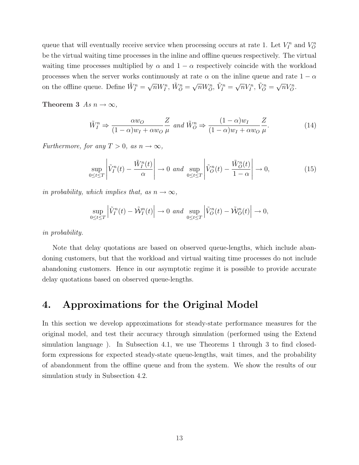queue that will eventually receive service when processing occurs at rate 1. Let  $V_I^n$  and  $V_O^n$ be the virtual waiting time processes in the inline and offline queues respectively. The virtual waiting time processes multiplied by  $\alpha$  and  $1 - \alpha$  respectively coincide with the workload processes when the server works continuously at rate  $\alpha$  on the inline queue and rate  $1 - \alpha$ on the offline queue. Define  $\tilde{W}_{I}^{n} = \sqrt{n}W_{I}^{n}$ ,  $\tilde{W}_{O}^{n} = \sqrt{n}W_{O}^{n}$ ,  $\tilde{V}_{I}^{n} = \sqrt{n}V_{I}^{n}$ ,  $\tilde{V}_{O}^{n} = \sqrt{n}V_{O}^{n}$ .

Theorem 3  $As n \to \infty$ ,

$$
\tilde{W}_I^n \Rightarrow \frac{\alpha w_O}{(1-\alpha)w_I + \alpha w_O} \frac{Z}{\mu} \text{ and } \tilde{W}_O^n \Rightarrow \frac{(1-\alpha)w_I}{(1-\alpha)w_I + \alpha w_O} \frac{Z}{\mu}.\tag{14}
$$

*Furthermore, for any*  $T > 0$ *, as*  $n \to \infty$ *,* 

$$
\sup_{0 \le t \le T} \left| \tilde{V}_I^n(t) - \frac{\tilde{W}_I^n(t)}{\alpha} \right| \to 0 \text{ and } \sup_{0 \le t \le T} \left| \tilde{V}_O^n(t) - \frac{\tilde{W}_O^n(t)}{1 - \alpha} \right| \to 0,
$$
\n(15)

*in probability, which implies that, as*  $n \rightarrow \infty$ ,

$$
\sup_{0\leq t\leq T}\left|\tilde{V}_I^n(t)-\tilde{\mathcal{W}}_I^n(t)\right|\to 0 \text{ and } \sup_{0\leq t\leq T}\left|\tilde{V}_O^n(t)-\tilde{\mathcal{W}}_O^n(t)\right|\to 0,
$$

*in probability.*

Note that delay quotations are based on observed queue-lengths, which include abandoning customers, but that the workload and virtual waiting time processes do not include abandoning customers. Hence in our asymptotic regime it is possible to provide accurate delay quotations based on observed queue-lengths.

# 4. Approximations for the Original Model

In this section we develop approximations for steady-state performance measures for the original model, and test their accuracy through simulation (performed using the Extend simulation language ). In Subsection 4.1, we use Theorems 1 through 3 to find closedform expressions for expected steady-state queue-lengths, wait times, and the probability of abandonment from the offline queue and from the system. We show the results of our simulation study in Subsection 4.2.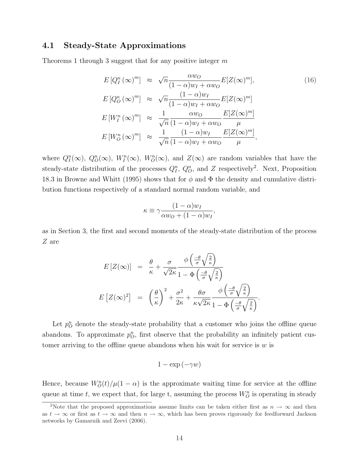## 4.1 Steady-State Approximations

Theorems 1 through 3 suggest that for any positive integer *m*

$$
E[Q_I^n(\infty)^m] \approx \sqrt{n} \frac{\alpha w_O}{(1-\alpha)w_I + \alpha w_O} E[Z(\infty)^m],
$$
\n
$$
E[Q_O^n(\infty)^m] \approx \sqrt{n} \frac{(1-\alpha)w_I}{(1-\alpha)w_I + \alpha w_O} E[Z(\infty)^m]
$$
\n
$$
E[W_I^n(\infty)^m] \approx \frac{1}{\sqrt{n}} \frac{\alpha w_O}{(1-\alpha)w_I + \alpha w_O} \frac{E[Z(\infty)^m]}{\mu}
$$
\n
$$
E[W_O^n(\infty)^m] \approx \frac{1}{\sqrt{n}} \frac{(1-\alpha)w_I}{(1-\alpha)w_I + \alpha w_O} \frac{E[Z(\infty)^m]}{\mu},
$$
\n(16)

where  $Q_I^n(\infty)$ ,  $Q_O^n(\infty)$ ,  $W_I^n(\infty)$ ,  $W_O^n(\infty)$ , and  $Z(\infty)$  are random variables that have the steady-state distribution of the processes  $Q_I^n$ ,  $Q_O^n$ , and *Z* respectively<sup>2</sup>. Next, Proposition 18.3 in Browne and Whitt (1995) shows that for  $\phi$  and  $\Phi$  the density and cumulative distribution functions respectively of a standard normal random variable, and

$$
\kappa \equiv \gamma \frac{(1-\alpha)w_I}{\alpha w_O + (1-\alpha)w_I},
$$

as in Section 3, the first and second moments of the steady-state distribution of the process *Z* are

$$
E\left[Z(\infty)\right] = \frac{\theta}{\kappa} + \frac{\sigma}{\sqrt{2\kappa}} \frac{\phi\left(\frac{-\theta}{\sigma}\sqrt{\frac{2}{\kappa}}\right)}{1 - \Phi\left(\frac{-\theta}{\sigma}\sqrt{\frac{2}{\kappa}}\right)}
$$

$$
E\left[Z(\infty)^2\right] = \left(\frac{\theta}{\kappa}\right)^2 + \frac{\sigma^2}{2\kappa} + \frac{\theta\sigma}{\kappa\sqrt{2\kappa}} \frac{\phi\left(\frac{-\theta}{\sigma}\sqrt{\frac{2}{\kappa}}\right)}{1 - \Phi\left(\frac{-\theta}{\sigma}\sqrt{\frac{2}{\kappa}}\right)}.
$$

Let  $p_{O}^{n}$  denote the steady-state probability that a customer who joins the offline queue abandons. To approximate  $p_O^n$ , first observe that the probability an infinitely patient customer arriving to the offline queue abandons when his wait for service is  $w$  is

$$
1 - \exp(-\gamma w)
$$

Hence, because  $W_O^n(t)/\mu(1-\alpha)$  is the approximate waiting time for service at the offline queue at time *t*, we expect that, for large *t*, assuming the process  $W_O^n$  is operating in steady

<sup>&</sup>lt;sup>2</sup>Note that the proposed approximations assume limits can be taken either first as  $n \to \infty$  and then as  $t \to \infty$  or first as  $t \to \infty$  and then  $n \to \infty$ , which has been proves rigorously for feedforward Jackson networks by Gamarnik and Zeevi (2006).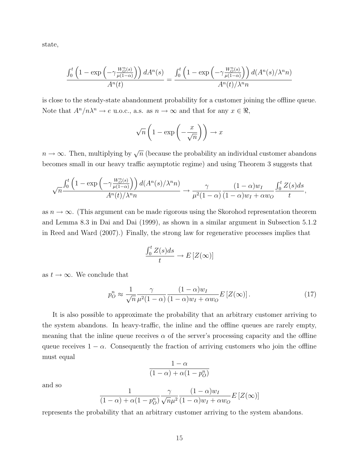state,

$$
\frac{\int_0^t \left(1 - \exp\left(-\gamma \frac{W_0^n(s)}{\mu(1-\alpha)}\right)\right) dA^n(s)}{A^n(t)} = \frac{\int_0^t \left(1 - \exp\left(-\gamma \frac{W_0^n(s)}{\mu(1-\alpha)}\right)\right) d(A^n(s)/\lambda^n n)}{A^n(t)/\lambda^n n}
$$

is close to the steady-state abandonment probability for a customer joining the offline queue. Note that  $A^n/n\lambda^n \to e$  u.o.c., a.s. as  $n \to \infty$  and that for any  $x \in \Re$ ,

$$
\sqrt{n}\left(1-\exp\left(-\frac{x}{\sqrt{n}}\right)\right) \to x
$$

 $n \to \infty$ . Then, multiplying by  $\sqrt{n}$  (because the probability an individual customer abandons becomes small in our heavy traffic asymptotic regime) and using Theorem 3 suggests that

$$
\sqrt{n}\frac{\int_0^t \left(1 - \exp\left(-\gamma \frac{W_D^n(s)}{\mu(1-\alpha)}\right)\right) d(A^n(s)/\lambda^n n)}{A^n(t)/\lambda^n n} \to \frac{\gamma}{\mu^2(1-\alpha)}\frac{(1-\alpha)w_I}{(1-\alpha)w_I + \alpha w_O} \frac{\int_0^t Z(s)ds}{t},
$$

as  $n \to \infty$ . (This argument can be made rigorous using the Skorohod representation theorem and Lemma 8.3 in Dai and Dai (1999), as shown in a similar argument in Subsection 5.1.2 in Reed and Ward (2007).) Finally, the strong law for regenerative processes implies that

$$
\frac{\int_0^t Z(s)ds}{t} \to E\left[Z(\infty)\right]
$$

as  $t \to \infty$ . We conclude that

$$
p_O^n \approx \frac{1}{\sqrt{n}} \frac{\gamma}{\mu^2 (1 - \alpha)} \frac{(1 - \alpha) w_I}{(1 - \alpha) w_I + \alpha w_O} E\left[Z(\infty)\right]. \tag{17}
$$

It is also possible to approximate the probability that an arbitrary customer arriving to the system abandons. In heavy-traffic, the inline and the offline queues are rarely empty, meaning that the inline queue receives  $\alpha$  of the server's processing capacity and the offline queue receives  $1 - \alpha$ . Consequently the fraction of arriving customers who join the offline must equal

$$
\frac{1-\alpha}{(1-\alpha)+\alpha(1-p_O^n)}
$$

and so

$$
\frac{1}{(1-\alpha)+\alpha(1-p_{O}^{n})}\frac{\gamma}{\sqrt{n}\mu^{2}}\frac{(1-\alpha)w_{I}}{(1-\alpha)w_{I}+\alpha w_{O}}E\left[Z(\infty)\right]
$$

represents the probability that an arbitrary customer arriving to the system abandons.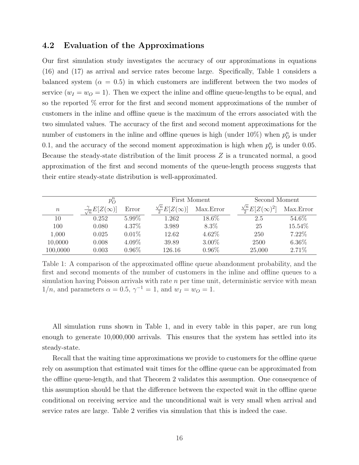## 4.2 Evaluation of the Approximations

Our first simulation study investigates the accuracy of our approximations in equations (16) and (17) as arrival and service rates become large. Specifically, Table 1 considers a balanced system ( $\alpha = 0.5$ ) in which customers are indifferent between the two modes of service  $(w_I = w_O = 1)$ . Then we expect the inline and offline queue-lengths to be equal, and so the reported % error for the first and second moment approximations of the number of customers in the inline and offline queue is the maximum of the errors associated with the two simulated values. The accuracy of the first and second moment approximations for the number of customers in the inline and offline queues is high (under  $10\%$ ) when  $p^n_O$  is under 0.1, and the accuracy of the second moment approximation is high when  $p_O^n$  is under 0.05. Because the steady-state distribution of the limit process *Z* is a truncated normal, a good approximation of the first and second moments of the queue-length process suggests that their entire steady-state distribution is well-approximated.

|                  | $p_{O}^{n}$                           |          | First Moment                     |           | Second Moment                      |           |
|------------------|---------------------------------------|----------|----------------------------------|-----------|------------------------------------|-----------|
| $\boldsymbol{n}$ | $\frac{\gamma}{\sqrt{n}}E[Z(\infty)]$ | Error    | $\frac{\sqrt{n}}{2}E[Z(\infty)]$ | Max.Error | $\frac{\sqrt{n}}{2}E[Z(\infty)^2]$ | Max.Error |
| 10               | 0.252                                 | $5.99\%$ | 1.262                            | 18.6%     | 2.5                                | 54.6%     |
| 100              | 0.080                                 | 4.37%    | 3.989                            | 8.3%      | 25                                 | 15.54%    |
| 1,000            | 0.025                                 | $0.01\%$ | 12.62                            | 4.62%     | 250                                | 7.22%     |
| 10,0000          | 0.008                                 | 4.09%    | 39.89                            | $3.00\%$  | 2500                               | $6.36\%$  |
| 100,0000         | 0.003                                 | $0.96\%$ | 126.16                           | $0.96\%$  | 25,000                             | 2.71%     |

Table 1: A comparison of the approximated offline queue abandonment probability, and the first and second moments of the number of customers in the inline and offline queues to a simulation having Poisson arrivals with rate *n* per time unit, deterministic service with mean  $1/n$ , and parameters  $\alpha = 0.5$ ,  $\gamma^{-1} = 1$ , and  $w_I = w_O = 1$ .

All simulation runs shown in Table 1, and in every table in this paper, are run long enough to generate 10,000,000 arrivals. This ensures that the system has settled into its steady-state.

Recall that the waiting time approximations we provide to customers for the offline queue rely on assumption that estimated wait times for the offline queue can be approximated from the offline queue-length, and that Theorem 2 validates this assumption. One consequence of this assumption should be that the difference between the expected wait in the offline queue conditional on receiving service and the unconditional wait is very small when arrival and service rates are large. Table 2 verifies via simulation that this is indeed the case.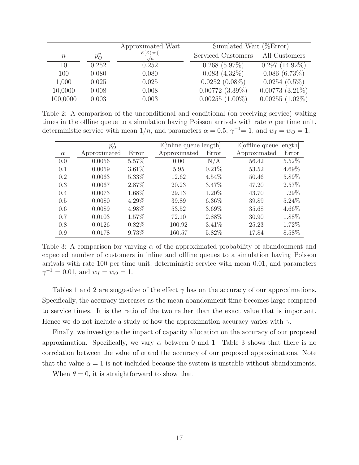|                  |             | Approximated Wait | Simulated Wait $(\%Error)$ |                   |
|------------------|-------------|-------------------|----------------------------|-------------------|
| $\boldsymbol{n}$ | $p_{O}^{n}$ | $E[Z(\infty)]$    | Serviced Customers         | All Customers     |
| 10               | 0.252       | 0.252             | $0.268(5.97\%)$            | $0.297(14.92\%)$  |
| 100              | 0.080       | 0.080             | $0.083(4.32\%)$            | $0.086(6.73\%)$   |
| 1,000            | 0.025       | 0.025             | $0.0252(0.08\%)$           | $0.0254(0.5\%)$   |
| 10,0000          | 0.008       | 0.008             | $0.00772~(3.39\%)$         | $0.00773(3.21\%)$ |
| 100,0000         | 0.003       | 0.003             | $0.00255(1.00\%)$          | $0.00255(1.02\%)$ |

Table 2: A comparison of the unconditional and conditional (on receiving service) waiting times in the offline queue to a simulation having Poisson arrivals with rate  $n$  per time unit, deterministic service with mean  $1/n$ , and parameters  $\alpha = 0.5$ ,  $\gamma^{-1} = 1$ , and  $w_I = w_O = 1$ .

|          | $p_{O}^{n}$  |          | $E[$ inline queue-length $]$ |          | $E[offline queue-length]$ |       |
|----------|--------------|----------|------------------------------|----------|---------------------------|-------|
| $\alpha$ | Approximated | Error    | Approximated                 | Error    | Approximated              | Error |
| 0.0      | 0.0056       | 5.57%    | 0.00                         | N/A      | 56.42                     | 5.52% |
| 0.1      | 0.0059       | $3.61\%$ | 5.95                         | 0.21%    | 53.52                     | 4.69% |
| 0.2      | 0.0063       | 5.33%    | 12.62                        | $4.54\%$ | 50.46                     | 5.89% |
| 0.3      | 0.0067       | 2.87%    | 20.23                        | 3.47%    | 47.20                     | 2.57% |
| 0.4      | 0.0073       | 1.68%    | 29.13                        | 1.20%    | 43.70                     | 1.29% |
| 0.5      | 0.0080       | 4.29%    | 39.89                        | $6.36\%$ | 39.89                     | 5.24% |
| 0.6      | 0.0089       | 4.98%    | 53.52                        | 3.69%    | 35.68                     | 4.66% |
| 0.7      | 0.0103       | 1.57%    | 72.10                        | 2.88%    | 30.90                     | 1.88% |
| 0.8      | 0.0126       | $0.82\%$ | 100.92                       | $3.41\%$ | 25.23                     | 1.72% |
| 0.9      | 0.0178       | 9.73%    | 160.57                       | 5.82%    | 17.84                     | 8.58% |

Table 3: A comparison for varying  $\alpha$  of the approximated probability of abandonment and expected number of customers in inline and offline queues to a simulation having Poisson arrivals with rate 100 per time unit, deterministic service with mean 0*.*01, and parameters  $\gamma^{-1} = 0.01$ , and  $w_I = w_O = 1$ .

Tables 1 and 2 are suggestive of the effect  $\gamma$  has on the accuracy of our approximations. Specifically, the accuracy increases as the mean abandonment time becomes large compared to service times. It is the ratio of the two rather than the exact value that is important. Hence we do not include a study of how the approximation accuracy varies with  $\gamma$ .

Finally, we investigate the impact of capacity allocation on the accuracy of our proposed approximation. Specifically, we vary  $\alpha$  between 0 and 1. Table 3 shows that there is no correlation between the value of  $\alpha$  and the accuracy of our proposed approximations. Note that the value  $\alpha = 1$  is not included because the system is unstable without abandonments.

When  $\theta = 0$ , it is straightforward to show that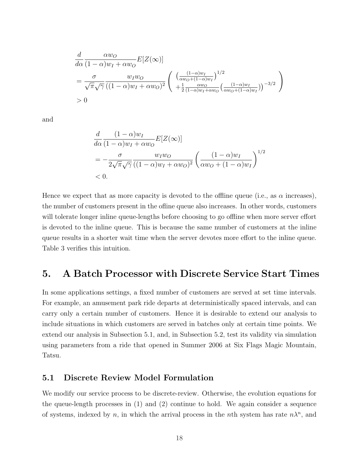$$
\frac{d}{d\alpha} \frac{\alpha w_O}{(1-\alpha)w_I + \alpha w_O} E[Z(\infty)]
$$
\n
$$
= \frac{\sigma}{\sqrt{\pi}\sqrt{\gamma}} \frac{w_I w_O}{((1-\alpha)w_I + \alpha w_O)^2} \left( \frac{\left(\frac{(1-\alpha)w_I}{\alpha w_O + (1-\alpha)w_I}\right)^{1/2}}{+\frac{1}{2}\frac{\alpha w_O}{(1-\alpha)w_I + \alpha w_O} \left(\frac{(1-\alpha)w_I}{\alpha w_O + (1-\alpha)w_I}\right)^{-3/2}} \right)
$$
\n
$$
> 0
$$

and

$$
\frac{d}{d\alpha} \frac{(1-\alpha)w_I}{(1-\alpha)w_I + \alpha w_O} E[Z(\infty)]
$$
\n
$$
= -\frac{\sigma}{2\sqrt{\pi}\sqrt{\gamma}} \frac{w_I w_O}{((1-\alpha)w_I + \alpha w_O)^2} \left(\frac{(1-\alpha)w_I}{\alpha w_O + (1-\alpha)w_I}\right)^{1/2}
$$
\n
$$
< 0.
$$

Hence we expect that as more capacity is devoted to the offline queue (i.e., as  $\alpha$  increases), the number of customers present in the ofline queue also increases. In other words, customers will tolerate longer inline queue-lengths before choosing to go offline when more server effort is devoted to the inline queue. This is because the same number of customers at the inline queue results in a shorter wait time when the server devotes more effort to the inline queue. Table 3 verifies this intuition.

# 5. A Batch Processor with Discrete Service Start Times

In some applications settings, a fixed number of customers are served at set time intervals. For example, an amusement park ride departs at deterministically spaced intervals, and can carry only a certain number of customers. Hence it is desirable to extend our analysis to include situations in which customers are served in batches only at certain time points. We extend our analysis in Subsection 5.1, and, in Subsection 5.2, test its validity via simulation using parameters from a ride that opened in Summer 2006 at Six Flags Magic Mountain, Tatsu.

## 5.1 Discrete Review Model Formulation

We modify our service process to be discrete-review. Otherwise, the evolution equations for the queue-length processes in (1) and (2) continue to hold. We again consider a sequence of systems, indexed by *n*, in which the arrival process in the *n*th system has rate  $n\lambda^n$ , and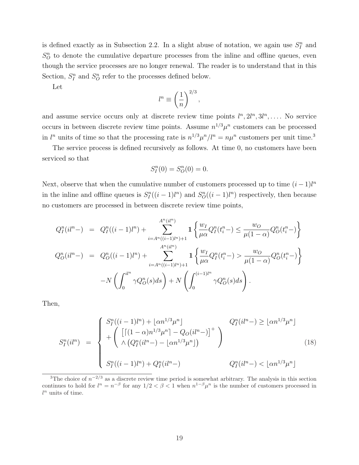is defined exactly as in Subsection 2.2. In a slight abuse of notation, we again use  $S_I^n$  and  $S_{\mathcal{O}}^{n}$  to denote the cumulative departure processes from the inline and offline queues, even though the service processes are no longer renewal. The reader is to understand that in this Section,  $S_I^n$  and  $S_O^n$  refer to the processes defined below.

Let

$$
l^n \equiv \left(\frac{1}{n}\right)^{2/3},
$$

and assume service occurs only at discrete review time points  $l^n, 2l^n, 3l^n, \ldots$ . No service occurs in between discrete review time points. Assume  $n^{1/3}\mu^n$  customers can be processed in  $l^n$  units of time so that the processing rate is  $n^{1/3}\mu^n/l^n = n\mu^n$  customers per unit time.<sup>3</sup>

The service process is defined recursively as follows. At time 0, no customers have been serviced so that

$$
S_I^n(0) = S_O^n(0) = 0.
$$

Next, observe that when the cumulative number of customers processed up to time  $(i-1)l^n$ in the inline and offline queues is  $S_I^n((i-1)l^n)$  and  $S_O^n((i-1)l^n)$  respectively, then because no customers are processed in between discrete review time points,

$$
Q_{I}^{n}(il^{n}) = Q_{I}^{n}((i-1)l^{n}) + \sum_{i=A^{n}((i-1)l^{n})+1}^{A^{n}(il^{n})} \mathbf{1} \left\{ \frac{w_{I}}{\mu\alpha} Q_{I}^{n}(t_{i}^{n}) \leq \frac{w_{O}}{\mu(1-\alpha)} Q_{O}^{n}(t_{i}^{n}) \right\}
$$
  

$$
Q_{O}^{n}(il^{n}) = Q_{O}^{n}((i-1)l^{n}) + \sum_{i=A^{n}((i-1)l^{n})+1}^{A^{n}(il^{n})} \mathbf{1} \left\{ \frac{w_{I}}{\mu\alpha} Q_{I}^{n}(t_{i}^{n}) > \frac{w_{O}}{\mu(1-\alpha)} Q_{O}^{n}(t_{i}^{n}) \right\}
$$
  

$$
-N \left( \int_{0}^{il^{n}} \gamma Q_{O}^{n}(s)ds \right) + N \left( \int_{0}^{(i-1)l^{n}} \gamma Q_{O}^{n}(s)ds \right).
$$

Then,

$$
S_I^n(i l^n) = \begin{cases} S_I^n((i-1)l^n) + \lfloor \alpha n^{1/3} \mu^n \rfloor & Q_I^n(i l^n -) \geq \lfloor \alpha n^{1/3} \mu^n \rfloor \\ + \left( \lfloor [(1-\alpha)n^{1/3} \mu^n] - Q_O(i l^n -) \rfloor^+ \\ \wedge (Q_I^n(i l^n -) - \lfloor \alpha n^{1/3} \mu^n \rfloor) & Q_I^n(i l^n -) < \lfloor \alpha n^{1/3} \mu^n \rfloor \end{cases}
$$
(18)

<sup>&</sup>lt;sup>3</sup>The choice of  $n^{-2/3}$  as a discrete review time period is somewhat arbitrary. The analysis in this section continues to hold for  $l^n = n^{-\beta}$  for any  $1/2 < \beta < 1$  when  $n^{1-\beta}\mu^n$  is the number of customers processed in *l <sup>n</sup>* units of time.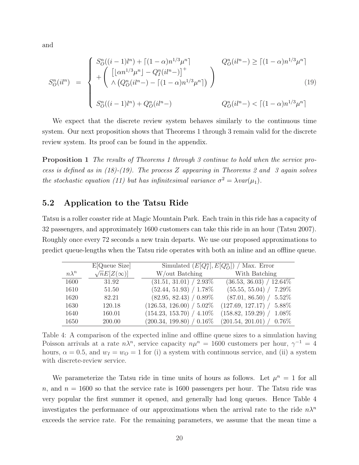and

$$
S_{O}^{n}(il^{n}) = \begin{cases} S_{O}^{n}((i-1)l^{n}) + \left[ (1-\alpha)n^{1/3}\mu^{n} \right] & Q_{O}^{n}(il^{n}) \ge \left[ (1-\alpha)n^{1/3}\mu^{n} \right] \\ + \left( \left[ \lfloor \alpha n^{1/3}\mu^{n} \rfloor - Q_{I}^{n}(il^{n}) \right]^{+} \\ \wedge \left( Q_{O}^{n}(il^{n}) - \left[ (1-\alpha)n^{1/3}\mu^{n} \right] \right) & Q_{O}^{n}(il^{n}) \end{cases} \tag{19}
$$

$$
S_{O}^{n}((i-1)l^{n}) + Q_{O}^{n}(il^{n}) \qquad Q_{O}^{n}(il^{n}) < \left[ (1-\alpha)n^{1/3}\mu^{n} \right]
$$

We expect that the discrete review system behaves similarly to the continuous time system. Our next proposition shows that Theorems 1 through 3 remain valid for the discrete review system. Its proof can be found in the appendix.

Proposition 1 *The results of Theorems 1 through 3 continue to hold when the service process is defined as in (18)-(19). The process Z appearing in Theorems 2 and 3 again solves the stochastic equation (11) but has infinitesimal variance*  $\sigma^2 = \lambda var(\mu_1)$ *.* 

## 5.2 Application to the Tatsu Ride

Tatsu is a roller coaster ride at Magic Mountain Park. Each train in this ride has a capacity of 32 passengers, and approximately 1600 customers can take this ride in an hour (Tatsu 2007). Roughly once every 72 seconds a new train departs. We use our proposed approximations to predict queue-lengths when the Tatsu ride operates with both an inline and an offline queue.

|              | E[Queue Size]          | Simulated $(E[Q_I^n], E[Q_O^n])$ / Max. Error |                                |  |
|--------------|------------------------|-----------------------------------------------|--------------------------------|--|
| $n\lambda^n$ | $\sqrt{n}E[Z(\infty)]$ | W/out Batching                                | With Batching                  |  |
| 1600         | 31.92                  | $(31.51, 31.01) / 2.93\%$                     | $(36.53, 36.03) / 12.64\%$     |  |
| 1610         | 51.50                  | $(52.44, 51.93) / 1.78\%$                     | (55.55, 55.04) /<br>$7.29\%$   |  |
| 1620         | 82.21                  | $(82.95, 82.43) / 0.89\%$                     | $(87.01, 86.50)$ /<br>$5.52\%$ |  |
| 1630         | 120.18                 | $(126.53, 126.00) / 5.02\%$                   | (127.69, 127.17) /<br>5.88%    |  |
| 1640         | 160.01                 | $(154.23, 153.70) / 4.10\%$                   | $(158.82, 159.29)$ /<br>1.08%  |  |
| 1650         | 200.00                 | $(200.34, 199.80) / 0.16\%$                   | $(201.54, 201.01) / 0.76\%$    |  |

Table 4: A comparison of the expected inline and offline queue sizes to a simulation having Poisson arrivals at a rate  $n\lambda^n$ , service capacity  $n\mu^n = 1600$  customers per hour,  $\gamma^{-1} = 4$ hours,  $\alpha = 0.5$ , and  $w_I = w_O = 1$  for (i) a system with continuous service, and (ii) a system with discrete-review service.

We parameterize the Tatsu ride in time units of hours as follows. Let  $\mu^n = 1$  for all *n*, and  $n = 1600$  so that the service rate is 1600 passengers per hour. The Tatsu ride was very popular the first summer it opened, and generally had long queues. Hence Table 4 investigates the performance of our approximations when the arrival rate to the ride  $n\lambda^n$ exceeds the service rate. For the remaining parameters, we assume that the mean time a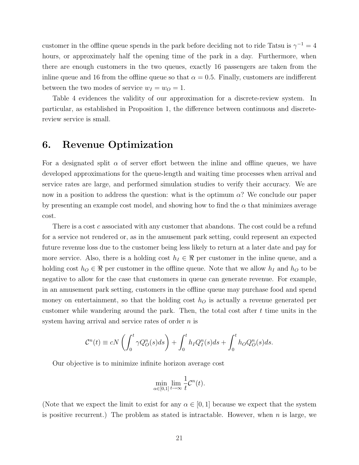customer in the offline queue spends in the park before deciding not to ride Tatsu is  $\gamma^{-1} = 4$ hours, or approximately half the opening time of the park in a day. Furthermore, when there are enough customers in the two queues, exactly 16 passengers are taken from the inline queue and 16 from the offline queue so that  $\alpha = 0.5$ . Finally, customers are indifferent between the two modes of service  $w_I = w_O = 1$ .

Table 4 evidences the validity of our approximation for a discrete-review system. In particular, as established in Proposition 1, the diÆerence between continuous and discretereview service is small.

## 6. Revenue Optimization

For a designated split  $\alpha$  of server effort between the inline and offline queues, we have developed approximations for the queue-length and waiting time processes when arrival and service rates are large, and performed simulation studies to verify their accuracy. We are now in a position to address the question: what is the optimum  $\alpha$ ? We conclude our paper by presenting an example cost model, and showing how to find the  $\alpha$  that minimizes average cost.

There is a cost *c* associated with any customer that abandons. The cost could be a refund for a service not rendered or, as in the amusement park setting, could represent an expected future revenue loss due to the customer being less likely to return at a later date and pay for more service. Also, there is a holding cost  $h_I \in \Re$  per customer in the inline queue, and a holding cost  $h_0 \in \mathbb{R}$  per customer in the offline queue. Note that we allow  $h_I$  and  $h_O$  to be negative to allow for the case that customers in queue can generate revenue. For example, in an amusement park setting, customers in the offline queue may purchase food and spend money on entertainment, so that the holding cost *h<sup>O</sup>* is actually a revenue generated per customer while wandering around the park. Then, the total cost after *t* time units in the system having arrival and service rates of order *n* is

$$
\mathcal{C}^n(t) \equiv cN\left(\int_0^t \gamma Q_O^n(s)ds\right) + \int_0^t h_I Q_I^n(s)ds + \int_0^t h_O Q_O^n(s)ds.
$$

Our objective is to minimize infinite horizon average cost

$$
\min_{\alpha \in [0,1]} \lim_{t \to \infty} \frac{1}{t} \mathcal{C}^n(t).
$$

(Note that we expect the limit to exist for any  $\alpha \in [0, 1]$  because we expect that the system is positive recurrent.) The problem as stated is intractable. However, when *n* is large, we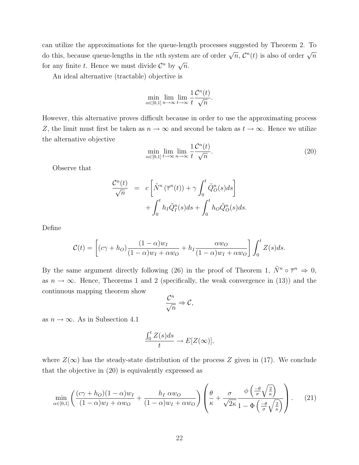can utilize the approximations for the queue-length processes suggested by Theorem 2. To do this, because queue-lengths in the *n*th system are of order  $\sqrt{n}$ ,  $\mathcal{C}^n(t)$  is also of order  $\sqrt{n}$ for any finite *t*. Hence we must divide  $\mathcal{C}^n$  by  $\sqrt{n}$ .

An ideal alternative (tractable) objective is

$$
\min_{\alpha \in [0,1]} \lim_{n \to \infty} \lim_{t \to \infty} \frac{1}{t} \frac{\mathcal{C}^n(t)}{\sqrt{n}}.
$$

However, this alternative proves difficult because in order to use the approximating process *Z*, the limit must first be taken as  $n \to \infty$  and second be taken as  $t \to \infty$ . Hence we utilize the alternative objective

$$
\min_{\alpha \in [0,1]} \lim_{t \to \infty} \lim_{n \to \infty} \frac{1}{t} \frac{\mathcal{C}^n(t)}{\sqrt{n}}.
$$
\n(20)

Observe that

$$
\frac{\mathcal{C}^n(t)}{\sqrt{n}} = c \left[ \tilde{N}^n \left( \overline{\tau}^n(t) \right) + \gamma \int_0^t \tilde{Q}_O^n(s) ds \right] + \int_0^t h_I \tilde{Q}_I^n(s) ds + \int_0^t h_O \tilde{Q}_O^n(s) ds.
$$

Define

$$
\mathcal{C}(t) = \left[ (c\gamma + h_O) \frac{(1-\alpha)w_I}{(1-\alpha)w_I + \alpha w_O} + h_I \frac{\alpha w_O}{(1-\alpha)w_I + \alpha w_O} \right] \int_0^t Z(s)ds.
$$

By the same argument directly following (26) in the proof of Theorem 1,  $\tilde{N}^n \circ \overline{\tau}^n \Rightarrow 0$ , as  $n \to \infty$ . Hence, Theorems 1 and 2 (specifically, the weak convergence in (13)) and the continuous mapping theorem show

$$
\frac{\mathcal{C}^n}{\sqrt{n}} \Rightarrow \mathcal{C},
$$

as  $n \to \infty$ . As in Subsection 4.1

$$
\frac{\int_0^t Z(s)ds}{t} \to E[Z(\infty)],
$$

where  $Z(\infty)$  has the steady-state distribution of the process Z given in (17). We conclude that the objective in (20) is equivalently expressed as

$$
\min_{\alpha \in [0,1]} \left( \frac{(c\gamma + h_O)(1 - \alpha)w_I}{(1 - \alpha)w_I + \alpha w_O} + \frac{h_I \alpha w_O}{(1 - \alpha)w_I + \alpha w_O} \right) \left( \frac{\theta}{\kappa} + \frac{\sigma}{\sqrt{2\kappa}} \frac{\phi\left(\frac{-\theta}{\sigma}\sqrt{\frac{2}{\kappa}}\right)}{1 - \Phi\left(\frac{-\theta}{\sigma}\sqrt{\frac{2}{\kappa}}\right)} \right). \tag{21}
$$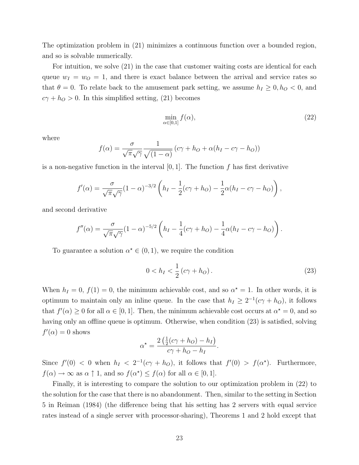The optimization problem in (21) minimizes a continuous function over a bounded region, and so is solvable numerically.

For intuition, we solve (21) in the case that customer waiting costs are identical for each queue  $w_I = w_O = 1$ , and there is exact balance between the arrival and service rates so that  $\theta = 0$ . To relate back to the amusement park setting, we assume  $h_I \geq 0, h_O < 0$ , and  $c\gamma + h_O > 0$ . In this simplified setting, (21) becomes

$$
\min_{\alpha \in [0,1]} f(\alpha),\tag{22}
$$

where

$$
f(\alpha) = \frac{\sigma}{\sqrt{\pi}\sqrt{\gamma}} \frac{1}{\sqrt{(1-\alpha)}} \left( c\gamma + h_O + \alpha (h_I - c\gamma - h_O) \right)
$$

is a non-negative function in the interval  $[0,1]$ . The function  $f$  has first derivative

$$
f'(\alpha) = \frac{\sigma}{\sqrt{\pi}\sqrt{\gamma}} (1-\alpha)^{-3/2} \left( h_I - \frac{1}{2} (c\gamma + h_O) - \frac{1}{2} \alpha (h_I - c\gamma - h_O) \right),
$$

and second derivative

$$
f''(\alpha) = \frac{\sigma}{\sqrt{\pi}\sqrt{\gamma}} (1-\alpha)^{-5/2} \left( h_I - \frac{1}{4} (c\gamma + h_O) - \frac{1}{4} \alpha (h_I - c\gamma - h_O) \right).
$$

To guarantee a solution  $\alpha^* \in (0, 1)$ , we require the condition

$$
0 < h_I < \frac{1}{2} \left( c\gamma + h_O \right). \tag{23}
$$

When  $h_I = 0$ ,  $f(1) = 0$ , the minimum achievable cost, and so  $\alpha^* = 1$ . In other words, it is optimum to maintain only an inline queue. In the case that  $h_I \geq 2^{-1}(c\gamma + h_O)$ , it follows that  $f'(\alpha) \geq 0$  for all  $\alpha \in [0, 1]$ . Then, the minimum achievable cost occurs at  $\alpha^* = 0$ , and so having only an offline queue is optimum. Otherwise, when condition (23) is satisfied, solving  $f'(\alpha) = 0$  shows

$$
\alpha^* = \frac{2\left(\frac{1}{2}(c\gamma + h_O) - h_I\right)}{c\gamma + h_O - h_I}.
$$

Since  $f'(0) < 0$  when  $h_I < 2^{-1}(c\gamma + h_O)$ , it follows that  $f'(0) > f(\alpha^*)$ . Furthermore,  $f(\alpha) \to \infty$  as  $\alpha \uparrow 1$ , and so  $f(\alpha^*) \leq f(\alpha)$  for all  $\alpha \in [0, 1]$ .

Finally, it is interesting to compare the solution to our optimization problem in (22) to the solution for the case that there is no abandonment. Then, similar to the setting in Section 5 in Reiman (1984) (the diÆerence being that his setting has 2 servers with equal service rates instead of a single server with processor-sharing), Theorems 1 and 2 hold except that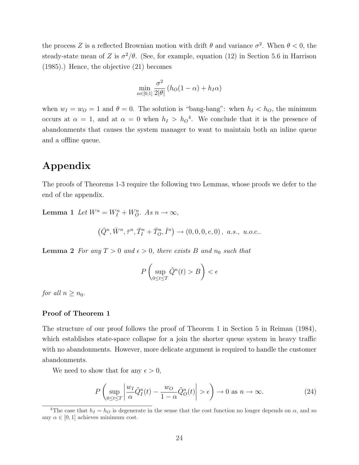the process *Z* is a reflected Brownian motion with drift  $\theta$  and variance  $\sigma^2$ . When  $\theta < 0$ , the steady-state mean of *Z* is  $\sigma^2/\theta$ . (See, for example, equation (12) in Section 5.6 in Harrison (1985).) Hence, the objective (21) becomes

$$
\min_{\alpha \in [0,1]} \frac{\sigma^2}{2|\theta|} (h_O(1-\alpha) + h_I \alpha)
$$

when  $w_I = w_O = 1$  and  $\theta = 0$ . The solution is "bang-bang": when  $h_I < h_O$ , the minimum occurs at  $\alpha = 1$ , and at  $\alpha = 0$  when  $h_I > h_O^4$ . We conclude that it is the presence of abandonments that causes the system manager to want to maintain both an inline queue and a offline queue.

# Appendix

The proofs of Theorems 1-3 require the following two Lemmas, whose proofs we defer to the end of the appendix.

Lemma 1 Let  $W^n = W_I^n + W_O^n$ . As  $n \to \infty$ ,

$$
\left(\bar{Q}^n,\bar{W}^n,\bar{\tau}^n,\bar{T}_I^n+\bar{T}_O^n,\bar{I}^n\right)\to (0,0,0,e,0)\,,\,\,a.s.,\,\,u.o.c..
$$

**Lemma 2** For any  $T > 0$  and  $\epsilon > 0$ , there exists B and  $n_0$  such that

$$
P\left(\sup_{0\leq t\leq T}\tilde{Q}^n(t)>B\right)<\epsilon
$$

*for all*  $n \geq n_0$ *.* 

### Proof of Theorem 1

The structure of our proof follows the proof of Theorem 1 in Section 5 in Reiman (1984), which establishes state-space collapse for a join the shorter queue system in heavy traffic with no abandonments. However, more delicate argument is required to handle the customer abandonments.

We need to show that for any  $\epsilon > 0$ ,

$$
P\left(\sup_{0\leq t\leq T} \left|\frac{w_I}{\alpha}\tilde{Q}_I^n(t) - \frac{w_O}{1-\alpha}\tilde{Q}_O^n(t)\right| > \epsilon\right) \to 0 \text{ as } n \to \infty.
$$
 (24)

<sup>&</sup>lt;sup>4</sup>The case that  $h_I = h_O$  is degenerate in the sense that the cost function no longer depends on  $\alpha$ , and so any  $\alpha \in [0, 1]$  achieves minimum cost.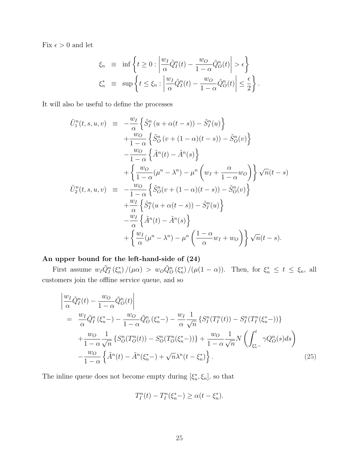Fix  $\epsilon > 0$  and let

 $\overline{\phantom{a}}$  $\overline{\phantom{a}}$  $\overline{\phantom{a}}$ Ø

$$
\xi_n \equiv \inf \left\{ t \ge 0 : \left| \frac{w_I}{\alpha} \tilde{Q}_I^n(t) - \frac{w_O}{1 - \alpha} \tilde{Q}_O^n(t) \right| > \epsilon \right\}
$$
  

$$
\xi_n^* \equiv \sup \left\{ t \le \xi_n : \left| \frac{w_I}{\alpha} \tilde{Q}_I^n(t) - \frac{w_O}{1 - \alpha} \tilde{Q}_O^n(t) \right| \le \frac{\epsilon}{2} \right\}.
$$

It will also be useful to define the processes

$$
\tilde{U}_{1}^{n}(t, s, u, v) = -\frac{w_{I}}{\alpha} \left\{ \tilde{S}_{I}^{n}(u + \alpha(t - s)) - \tilde{S}_{I}^{n}(u) \right\} \n+ \frac{w_{O}}{1 - \alpha} \left\{ \tilde{S}_{O}^{n}(v + (1 - \alpha)(t - s)) - \tilde{S}_{O}^{n}(v) \right\} \n- \frac{w_{O}}{1 - \alpha} \left\{ \tilde{A}^{n}(t) - \tilde{A}^{n}(s) \right\} \n+ \left\{ \frac{w_{O}}{1 - \alpha} (\mu^{n} - \lambda^{n}) - \mu^{n} \left( w_{I} + \frac{\alpha}{1 - \alpha} w_{O} \right) \right\} \sqrt{n}(t - s) \n\tilde{U}_{2}^{n}(t, s, u, v) = -\frac{w_{O}}{1 - \alpha} \left\{ \tilde{S}_{O}^{n}(v + (1 - \alpha)(t - s)) - \tilde{S}_{O}^{n}(v) \right\} \n+ \frac{w_{I}}{\alpha} \left\{ \tilde{S}_{I}^{n}(u + \alpha(t - s)) - \tilde{S}_{I}^{n}(u) \right\} \n- \frac{w_{I}}{\alpha} \left\{ \tilde{A}^{n}(t) - \tilde{A}^{n}(s) \right\} \n+ \left\{ \frac{w_{I}}{\alpha} (\mu^{n} - \lambda^{n}) - \mu^{n} \left( \frac{1 - \alpha}{\alpha} w_{I} + w_{O} \right) \right\} \sqrt{n}(t - s).
$$

## An upper bound for the left-hand-side of (24)

First assume  $w_I \tilde{Q}_I^n(\xi_n^*)/(\mu \alpha) > w_O \tilde{Q}_O^n(\xi_n^*)/(\mu (1-\alpha))$ . Then, for  $\xi_n^* \leq t \leq \xi_n$ , all customers join the offline service queue, and so

$$
\frac{w_I}{\alpha} \tilde{Q}_I^n(t) - \frac{w_O}{1 - \alpha} \tilde{Q}_O^n(t) \Big| \n= \frac{w_I}{\alpha} \tilde{Q}_I^n (\xi_n^*) - \frac{w_O}{1 - \alpha} \tilde{Q}_O^n (\xi_n^*) - \frac{w_I}{\alpha} \frac{1}{\sqrt{n}} \{ S_I^n(T_I^n(t)) - S_I^n(T_I^n(\xi_n^*)) \} \n+ \frac{w_O}{1 - \alpha} \frac{1}{\sqrt{n}} \{ S_O^n(T_O^n(t)) - S_O^n(T_O^n(\xi_n^*)) \} + \frac{w_O}{1 - \alpha} \frac{1}{\sqrt{n}} N \left( \int_{\xi_n^* -}^t \gamma Q_O^n(s) ds \right) \n- \frac{w_O}{1 - \alpha} \left\{ \tilde{A}^n(t) - \tilde{A}^n(\xi_n^*) + \sqrt{n} \lambda^n(t - \xi_n^*) \right\}.
$$
\n(25)

The inline queue does not become empty during  $[\xi_n^*, \xi_n]$ , so that

$$
T_I^n(t) - T_I^n(\xi_n^*) \ge \alpha(t - \xi_n^*).
$$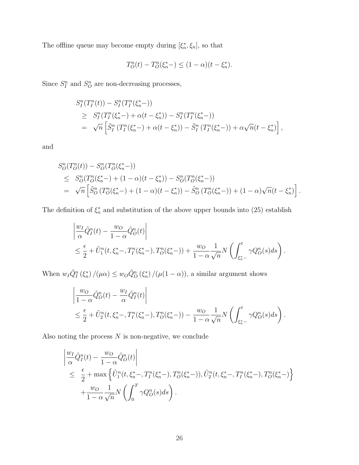The offline queue may become empty during  $[\xi_n^*, \xi_n]$ , so that

$$
T_O^n(t) - T_O^n(\xi_n^*) \le (1 - \alpha)(t - \xi_n^*).
$$

Since  $S_I^n$  and  $S_O^n$  are non-decreasing processes,

$$
S_I^n(T_I^n(t)) - S_I^n(T_I^n(\xi_n^*) )
$$
  
\n
$$
\geq S_I^n(T_I^n(\xi_n^*) + \alpha(t - \xi_n^*)) - S_I^n(T_I^n(\xi_n^*) )
$$
  
\n
$$
= \sqrt{n} \left[ \tilde{S}_I^n(T_I^n(\xi_n^*) + \alpha(t - \xi_n^*)) - \tilde{S}_I^n(T_I^n(\xi_n^*) ) + \alpha \sqrt{n}(t - \xi_n^*) \right],
$$

and

$$
S_{O}^{n}(T_{O}^{n}(t)) - S_{O}^{n}(T_{O}^{n}(\xi_{n}^{*}-))
$$
  
\n
$$
\leq S_{O}^{n}(T_{O}^{n}(\xi_{n}^{*}-) + (1 - \alpha)(t - \xi_{n}^{*})) - S_{O}^{n}(T_{O}^{n}(\xi_{n}^{*}-))
$$
  
\n
$$
= \sqrt{n} \left[ \tilde{S}_{O}^{n}(T_{O}^{n}(\xi_{n}^{*}-) + (1 - \alpha)(t - \xi_{n}^{*})) - \tilde{S}_{O}^{n}(T_{O}^{n}(\xi_{n}^{*}-)) + (1 - \alpha)\sqrt{n}(t - \xi_{n}^{*}) \right].
$$

The definition of  $\xi_n^*$  and substitution of the above upper bounds into (25) establish

$$
\begin{aligned}\n\left| \frac{w_I}{\alpha} \tilde{Q}_I^n(t) - \frac{w_O}{1 - \alpha} \tilde{Q}_O^n(t) \right| \\
&\leq \frac{\epsilon}{2} + \tilde{U}_1^n(t, \xi_n^*-, T_I^n(\xi_n^* -), T_O^n(\xi_n^* -)) + \frac{w_O}{1 - \alpha} \frac{1}{\sqrt{n}} N\left(\int_{\xi_n^* -}^t \gamma Q_O^n(s) ds\right).\n\end{aligned}
$$

When  $w_I \tilde{Q}_I^n(\xi_n^*) / (\mu \alpha) \leq w_O \tilde{Q}_O^n(\xi_n^*) / (\mu (1 - \alpha))$ , a similar argument shows

$$
\begin{aligned}\n\left| \frac{w_O}{1-\alpha} \tilde{Q}_O^n(t) - \frac{w_I}{\alpha} \tilde{Q}_I^n(t) \right| \\
&\leq \frac{\epsilon}{2} + \tilde{U}_2^n(t, \xi_n^*-, T_I^n(\xi_n^* -), T_O^n(\xi_n^* -)) - \frac{w_O}{1-\alpha} \frac{1}{\sqrt{n}} N\left(\int_{\xi_n^* -}^t \gamma Q_O^n(s) ds\right).\n\end{aligned}
$$

Also noting the process *N* is non-negative, we conclude

$$
\begin{aligned}\n\left| \frac{w_I}{\alpha} \tilde{Q}_I^n(t) - \frac{w_O}{1 - \alpha} \tilde{Q}_O^n(t) \right| \\
&\leq \frac{\epsilon}{2} + \max \left\{ \tilde{U}_1^n(t, \xi_n^* -, T_I^n(\xi_n^* -), T_O^n(\xi_n^* -)), \tilde{U}_2^n(t, \xi_n^* -, T_I^n(\xi_n^* -), T_O^n(\xi_n^* -)) \right\} \\
&\quad + \frac{w_O}{1 - \alpha} \frac{1}{\sqrt{n}} N \left( \int_0^T \gamma Q_O^n(s) ds \right).\n\end{aligned}
$$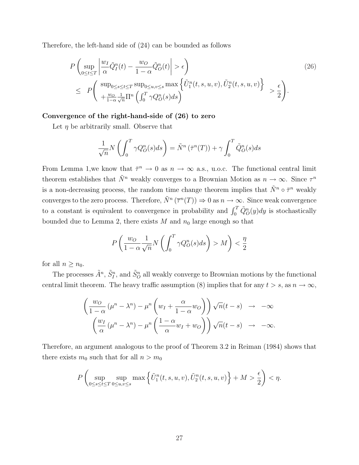Therefore, the left-hand side of (24) can be bounded as follows

$$
P\left(\sup_{0\leq t\leq T} \left|\frac{w_I}{\alpha} \tilde{Q}_I^n(t) - \frac{w_O}{1-\alpha} \tilde{Q}_O^n(t)\right| > \epsilon\right) \tag{26}
$$
\n
$$
\leq P\left(\sup_{0\leq s\leq t\leq T} \sup_{0\leq u,v\leq s} \max\left\{\tilde{U}_I^n(t,s,u,v), \tilde{U}_2^n(t,s,u,v)\right\} > \frac{\epsilon}{2}\right).
$$

### Convergence of the right-hand-side of (26) to zero

Let  $\eta$  be arbitrarily small. Observe that

$$
\frac{1}{\sqrt{n}}N\left(\int_0^T \gamma Q_O^n(s)ds\right) = \tilde{N}^n\left(\bar{\tau}^n(T)\right) + \gamma \int_0^T \tilde{Q}_O^n(s)ds
$$

From Lemma 1,we know that  $\bar{\tau}^n \to 0$  as  $n \to \infty$  a.s., u.o.c. The functional central limit theorem establishes that  $\tilde{N}^n$  weakly converges to a Brownian Motion as  $n \to \infty$ . Since  $\tau^n$ is a non-decreasing process, the random time change theorem implies that  $\tilde{N}^n \circ \bar{\tau}^n$  weakly converges to the zero process. Therefore,  $\tilde{N}^n(\overline{\tau}^n(T)) \Rightarrow 0$  as  $n \to \infty$ . Since weak convergence to a constant is equivalent to convergence in probability and  $\int_0^T \tilde{Q}_O^n(y) dy$  is stochastically bounded due to Lemma 2, there exists  $M$  and  $n_0$  large enough so that

$$
P\left(\frac{w_O}{1-\alpha}\frac{1}{\sqrt{n}}N\left(\int_0^T \gamma Q_O^n(s)ds\right) > M\right) < \frac{\eta}{2}
$$

for all  $n \geq n_0$ .

The processes  $\tilde{A}^n$ ,  $\tilde{S}^n_I$ , and  $\tilde{S}^n_O$  all weakly converge to Brownian motions by the functional central limit theorem. The heavy traffic assumption (8) implies that for any  $t > s$ , as  $n \to \infty$ ,

$$
\left(\frac{w_O}{1-\alpha}\left(\mu^n - \lambda^n\right) - \mu^n \left(w_I + \frac{\alpha}{1-\alpha}w_O\right)\right)\sqrt{n}(t-s) \rightarrow -\infty
$$

$$
\left(\frac{w_I}{\alpha}\left(\mu^n - \lambda^n\right) - \mu^n \left(\frac{1-\alpha}{\alpha}w_I + w_O\right)\right)\sqrt{n}(t-s) \rightarrow -\infty.
$$

Therefore, an argument analogous to the proof of Theorem 3.2 in Reiman (1984) shows that there exists  $m_0$  such that for all  $n > m_0$ 

$$
P\left(\sup_{0\leq s\leq t\leq T}\sup_{0\leq u,v\leq s}\max\left\{\tilde{U}_1^n(t,s,u,v),\tilde{U}_2^n(t,s,u,v)\right\}+M>\frac{\epsilon}{2}\right)<\eta.
$$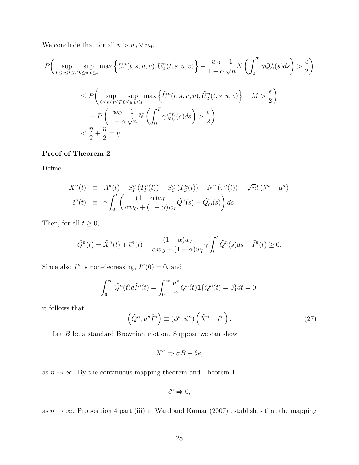We conclude that for all  $n > n_0 \vee m_0$ 

$$
P\left(\sup_{0\leq s\leq t\leq T}\sup_{0\leq u,v\leq s}\max\left\{\tilde{U}_1^n(t,s,u,v),\tilde{U}_2^n(t,s,u,v)\right\}+\frac{w_O}{1-\alpha}\frac{1}{\sqrt{n}}N\left(\int_0^T\gamma Q_O^n(s)ds\right)>\frac{\epsilon}{2}\right)
$$
  

$$
\leq P\left(\sup_{0\leq s\leq t\leq T}\sup_{0\leq u,v\leq s}\max\left\{\tilde{U}_1^n(t,s,u,v),\tilde{U}_2^n(t,s,u,v)\right\}+M>\frac{\epsilon}{2}\right)
$$
  
+
$$
P\left(\frac{w_O}{1-\alpha}\frac{1}{\sqrt{n}}N\left(\int_0^T\gamma Q_O^n(s)ds\right)>\frac{\epsilon}{2}\right)
$$
  

$$
<\frac{\eta}{2}+\frac{\eta}{2}=\eta.
$$

### Proof of Theorem 2

Define

$$
\tilde{X}^n(t) \equiv \tilde{A}^n(t) - \tilde{S}_I^n(T_I^n(t)) - \tilde{S}_O^n(T_O^n(t)) - \tilde{N}^n(\overline{\tau}^n(t)) + \sqrt{n}t(\lambda^n - \mu^n)
$$
  

$$
\tilde{\epsilon}^n(t) \equiv \gamma \int_0^t \left( \frac{(1-\alpha)w_I}{\alpha w_O + (1-\alpha)w_I} \tilde{Q}^n(s) - \tilde{Q}_O^n(s) \right) ds.
$$

Then, for all  $t \geq 0$ ,

$$
\tilde{Q}^n(t) = \tilde{X}^n(t) + \tilde{\epsilon}^n(t) - \frac{(1-\alpha)w_I}{\alpha w_O + (1-\alpha)w_I} \gamma \int_0^t \tilde{Q}^n(s)ds + \tilde{I}^n(t) \ge 0.
$$

Since also  $\tilde{I}^n$  is non-decreasing,  $\tilde{I}^n(0) = 0$ , and

$$
\int_0^\infty \tilde{Q}^n(t)d\tilde{I}^n(t) = \int_0^\infty \frac{\mu^n}{n}Q^n(t)\mathbf{1}\{Q^n(t) = 0\}dt = 0,
$$

it follows that

$$
\left(\tilde{Q}^n, \mu^n \tilde{I}^n\right) \equiv \left(\phi^\kappa, \psi^\kappa\right) \left(\tilde{X}^n + \tilde{\epsilon}^n\right). \tag{27}
$$

Let *B* be a standard Brownian motion. Suppose we can show

$$
\tilde{X}^n \Rightarrow \sigma B + \theta e,
$$

as  $n \to \infty$ . By the continuous mapping theorem and Theorem 1,

$$
\tilde{\epsilon}^n \Rightarrow 0,
$$

as  $n \to \infty$ . Proposition 4 part (iii) in Ward and Kumar (2007) establishes that the mapping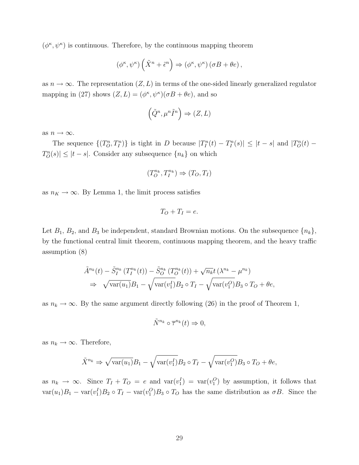$(\phi^{\kappa}, \psi^{\kappa})$  is continuous. Therefore, by the continuous mapping theorem

$$
(\phi^{\kappa}, \psi^{\kappa})\left(\tilde{X}^{n} + \tilde{\epsilon}^{n}\right) \Rightarrow (\phi^{\kappa}, \psi^{\kappa})\left(\sigma B + \theta e\right),
$$

as  $n \to \infty$ . The representation  $(Z, L)$  in terms of the one-sided linearly generalized regulator mapping in (27) shows  $(Z, L) = (\phi^{\kappa}, \psi^{\kappa})(\sigma B + \theta e)$ , and so

$$
\left(\tilde{Q}^n, \mu^n \tilde{I}^n\right) \Rightarrow (Z, L)
$$

as  $n \to \infty$ .

The sequence  $\{(T_0^n, T_I^n)\}\$ is tight in D because  $|T_I^n(t) - T_I^n(s)| \leq |t - s|$  and  $|T_O^n(t) - T_I^n(s)|$  $T_O^n(s) \leq |t - s|$ . Consider any subsequence  $\{n_k\}$  on which

$$
(T_O^{n_k}, T_I^{n_k}) \Rightarrow (T_O, T_I)
$$

as  $n_K \to \infty$ . By Lemma 1, the limit process satisfies

$$
T_O + T_I = e.
$$

Let  $B_1$ ,  $B_2$ , and  $B_3$  be independent, standard Brownian motions. On the subsequence  $\{n_k\}$ , by the functional central limit theorem, continuous mapping theorem, and the heavy traffic assumption (8)

$$
\tilde{A}^{n_k}(t) - \tilde{S}_I^{n_k}(T_I^{n_k}(t)) - \tilde{S}_O^{n_k}(T_O^{n_k}(t)) + \sqrt{n_k}t(\lambda^{n_k} - \mu^{n_k})
$$
  
\n
$$
\Rightarrow \sqrt{\text{var}(u_1)}B_1 - \sqrt{\text{var}(v_1^I)}B_2 \circ T_I - \sqrt{\text{var}(v_1^O)}B_3 \circ T_O + \theta e,
$$

as  $n_k \to \infty$ . By the same argument directly following (26) in the proof of Theorem 1,

$$
\tilde{N}^{n_k} \circ \overline{\tau}^{n_k}(t) \Rightarrow 0,
$$

as  $n_k \to \infty$ . Therefore,

$$
\tilde{X}^{n_k} \Rightarrow \sqrt{\text{var}(u_1)}B_1 - \sqrt{\text{var}(v_1^I)}B_2 \circ T_I - \sqrt{\text{var}(v_1^O)}B_3 \circ T_O + \theta e,
$$

as  $n_k \to \infty$ . Since  $T_I + T_O = e$  and  $var(v_1^I) = var(v_1^O)$  by assumption, it follows that  $var(u_1)B_1 - var(v_1^I)B_2 \circ T_I - var(v_1^O)B_3 \circ T_O$  has the same distribution as  $\sigma B$ . Since the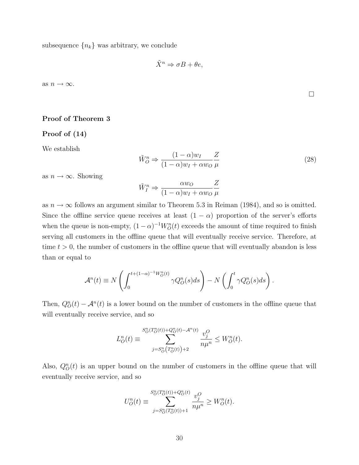subsequence  ${n_k}$  was arbitrary, we conclude

$$
\tilde{X}^n \Rightarrow \sigma B + \theta e,
$$

as  $n \to \infty$ .

### Proof of Theorem 3

## Proof of (14)

We establish

$$
\tilde{W}_O^n \Rightarrow \frac{(1-\alpha)w_I}{(1-\alpha)w_I + \alpha w_O} \frac{Z}{\mu}
$$
\n(28)

as  $n \to \infty$ . Showing

$$
\tilde{W}_I^n \Rightarrow \frac{\alpha w_O}{(1-\alpha)w_I + \alpha w_O} \frac{Z}{\mu}
$$

as  $n \to \infty$  follows an argument similar to Theorem 5.3 in Reiman (1984), and so is omitted. Since the offline service queue receives at least  $(1 - \alpha)$  proportion of the server's efforts when the queue is non-empty,  $(1 - \alpha)^{-1} W_O^n(t)$  exceeds the amount of time required to finish serving all customers in the offline queue that will eventually receive service. Therefore, at time  $t > 0$ , the number of customers in the offline queue that will eventually abandon is less than or equal to

$$
\mathcal{A}^n(t) \equiv N\left(\int_0^{t+(1-\alpha)^{-1}W_O^n(t)}\gamma Q_O^n(s)ds\right) - N\left(\int_0^t \gamma Q_O^n(s)ds\right).
$$

Then,  $Q_O^n(t) - A^n(t)$  is a lower bound on the number of customers in the offline queue that will eventually receive service, and so

$$
L_O^n(t) \equiv \sum_{j=S_O^n\left(T_O^n(t)\right)+2}^{S_O^n\left(T_O^n(t)\right)+Q^n(t)-\mathcal{A}^n(t)}\frac{v_j^O}{n\mu^n} \leq W_O^n(t).
$$

Also,  $Q_{\mathcal{O}}^n(t)$  is an upper bound on the number of customers in the offline queue that will eventually receive service, and so

$$
U_O^n(t) \equiv \sum_{j=S_O^n(T_O^n(t)) + 1}^{S_O^n(T_O^n(t)) + Q_O^n(t)} \frac{v_j^O}{n\mu^n} \ge W_O^n(t).
$$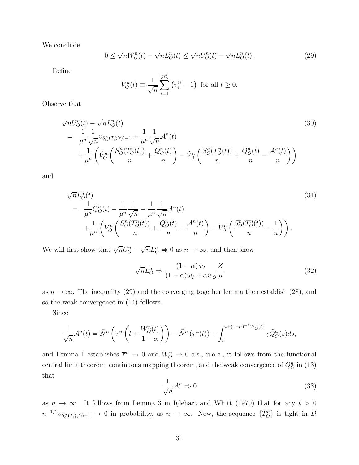We conclude

$$
0 \le \sqrt{n}W_O^n(t) - \sqrt{n}L_O^n(t) \le \sqrt{n}U_O^n(t) - \sqrt{n}L_O^n(t). \tag{29}
$$

Define

$$
\tilde{V}_O^n(t) \equiv \frac{1}{\sqrt{n}} \sum_{i=1}^{\lfloor nt \rfloor} \left( v_i^O - 1 \right) \text{ for all } t \ge 0.
$$

Observe that

$$
\sqrt{n}U_{O}^{n}(t) - \sqrt{n}L_{O}^{n}(t)
$$
\n
$$
= \frac{1}{\mu^{n}} \frac{1}{\sqrt{n}} v_{S_{O}^{n}(T_{O}^{n}(t)) + 1} + \frac{1}{\mu^{n}} \frac{1}{\sqrt{n}} \mathcal{A}^{n}(t)
$$
\n
$$
+ \frac{1}{\mu^{n}} \left( \tilde{V}_{O}^{n} \left( \frac{S_{O}^{n}(T_{O}^{n}(t))}{n} + \frac{Q_{O}^{n}(t)}{n} \right) - \tilde{V}_{O}^{n} \left( \frac{S_{O}^{n}(T_{O}^{n}(t))}{n} + \frac{Q_{O}^{n}(t)}{n} - \frac{\mathcal{A}^{n}(t)}{n} \right) \right)
$$
\n(30)

and

$$
\sqrt{n}L_{O}^{n}(t) = \frac{1}{\mu^{n}}\tilde{Q}_{O}^{n}(t) - \frac{1}{\mu^{n}}\frac{1}{\sqrt{n}} - \frac{1}{\mu^{n}}\frac{1}{\sqrt{n}}\mathcal{A}^{n}(t) + \frac{1}{\mu^{n}}\left(\tilde{V}_{O}^{n}\left(\frac{S_{O}^{n}(T_{O}^{n}(t))}{n} + \frac{Q_{O}^{n}(t)}{n} - \frac{\mathcal{A}^{n}(t)}{n}\right) - \tilde{V}_{O}^{n}\left(\frac{S_{O}^{n}(T_{O}^{n}(t))}{n} + \frac{1}{n}\right)\right).
$$
\n(31)

We will first show that  $\sqrt{n}U_{O}^{n} - \sqrt{n}L_{O}^{n} \Rightarrow 0$  as  $n \to \infty$ , and then show

$$
\sqrt{n}L_{O}^{n} \Rightarrow \frac{(1-\alpha)w_{I}}{(1-\alpha)w_{I} + \alpha w_{O}} \frac{Z}{\mu}
$$
\n(32)

as  $n \to \infty$ . The inequality (29) and the converging together lemma then establish (28), and so the weak convergence in (14) follows.

Since

$$
\frac{1}{\sqrt{n}}\mathcal{A}^n(t) = \tilde{N}^n\left(\overline{\tau}^n\left(t + \frac{W_O^n(t)}{1-\alpha}\right)\right) - \tilde{N}^n\left(\overline{\tau}^n(t)\right) + \int_t^{t + (1-\alpha)^{-1}W_O^n(t)}\gamma \tilde{Q}_O^n(s)ds,
$$

and Lemma 1 establishes  $\overline{\tau}^n \to 0$  and  $W_O^n \to 0$  a.s., u.o.c., it follows from the functional central limit theorem, continuous mapping theorem, and the weak convergence of  $\tilde{Q}_{O}^{n}$  in (13) that

$$
\frac{1}{\sqrt{n}}\mathcal{A}^n \Rightarrow 0\tag{33}
$$

as  $n \to \infty$ . It follows from Lemma 3 in Iglehart and Whitt (1970) that for any  $t > 0$  $n^{-1/2}v_{S_0^n(T_0^n(t))+1} \to 0$  in probability, as  $n \to \infty$ . Now, the sequence  $\{T_0^n\}$  is tight in *D*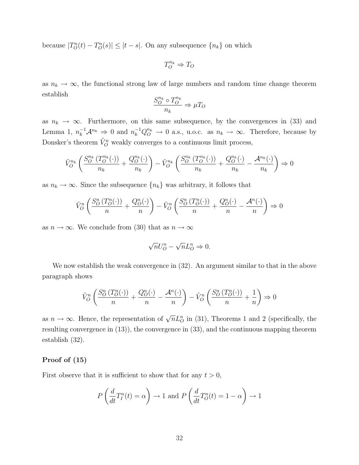because  $|T_O^n(t) - T_O^n(s)| \leq |t - s|$ . On any subsequence  $\{n_k\}$  on which

$$
T_O^{n_k}\Rightarrow T_O
$$

as  $n_k \to \infty$ , the functional strong law of large numbers and random time change theorem establish

$$
\frac{S_O^{n_k} \circ T_O^{n_k}}{n_k} \Rightarrow \mu T_O
$$

as  $n_k \to \infty$ . Furthermore, on this same subsequence, by the convergences in (33) and Lemma 1,  $n_k^{-1}A^{n_k} \Rightarrow 0$  and  $n_k^{-1}Q_O^{n_k} \to 0$  a.s., u.o.c. as  $n_k \to \infty$ . Therefore, because by Donsker's theorem  $\tilde{V}_O^n$  weakly converges to a continuous limit process,

$$
\tilde{V}_{O}^{n_k}\left(\frac{S_O^{n_k}\left(T_O^{n_k}(\cdot)\right)}{n_k} + \frac{Q_O^{n_k}(\cdot)}{n_k}\right) - \tilde{V}_{O}^{n_k}\left(\frac{S_O^{n_k}\left(T_O^{n_k}(\cdot)\right)}{n_k} + \frac{Q_O^{n_k}(\cdot)}{n_k} - \frac{\mathcal{A}^{n_k}(\cdot)}{n_k}\right) \Rightarrow 0
$$

as  $n_k \to \infty$ . Since the subsequence  $\{n_k\}$  was arbitrary, it follows that

$$
\tilde{V}_O^n\left(\frac{S_O^n(T_O^n(\cdot))}{n} + \frac{Q_O^n(\cdot)}{n}\right) - \tilde{V}_O^n\left(\frac{S_O^n(T_O^n(\cdot))}{n} + \frac{Q_O^n(\cdot)}{n} - \frac{A^n(\cdot)}{n}\right) \Rightarrow 0
$$

as  $n \to \infty$ . We conclude from (30) that as  $n \to \infty$ 

$$
\sqrt{n}U_O^n - \sqrt{n}L_O^n \Rightarrow 0.
$$

We now establish the weak convergence in (32). An argument similar to that in the above paragraph shows

$$
\tilde{V}_O^n \left( \frac{S_O^n \left( T_O^n(\cdot) \right)}{n} + \frac{Q_O^n(\cdot)}{n} - \frac{\mathcal{A}^n(\cdot)}{n} \right) - \tilde{V}_O^n \left( \frac{S_O^n \left( T_O^n(\cdot) \right)}{n} + \frac{1}{n} \right) \Rightarrow 0
$$

as  $n \to \infty$ . Hence, the representation of  $\sqrt{n}L_{\mathcal{O}}^{n}$  in (31), Theorems 1 and 2 (specifically, the resulting convergence in (13)), the convergence in (33), and the continuous mapping theorem establish (32).

### Proof of (15)

First observe that it is sufficient to show that for any  $t > 0$ ,

$$
P\left(\frac{d}{dt}T_I^n(t) = \alpha\right) \to 1
$$
 and  $P\left(\frac{d}{dt}T_O^n(t) = 1 - \alpha\right) \to 1$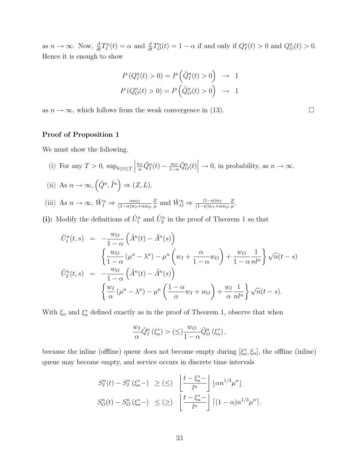as  $n \to \infty$ . Now,  $\frac{d}{dt}T_I^n(t) = \alpha$  and  $\frac{d}{dt}T_O^n(t) = 1 - \alpha$  if and only if  $Q_I^n(t) > 0$  and  $Q_O^n(t) > 0$ . Hence it is enough to show

$$
P(Q_I^n(t) > 0) = P(\tilde{Q}_I^n(t) > 0) \rightarrow 1
$$
  

$$
P(Q_O^n(t) > 0) = P(\tilde{Q}_O^n(t) > 0) \rightarrow 1
$$

as  $n \to \infty$ , which follows from the weak convergence in (13).

### Proof of Proposition 1

We must show the following.

- (i) For any  $T > 0$ ,  $\sup_{0 \le t \le T}$  $\frac{w_I}{\alpha} \tilde{Q}_I^n(t) - \frac{w_O}{1-\alpha} \tilde{Q}_O^n(t) \Big| \to 0$ , in probability, as  $n \to \infty$ .
- (ii) As  $n \to \infty$ ,  $(\tilde{Q}^n, \tilde{I}^n) \Rightarrow (Z, L)$ .
- (iii) As  $n \to \infty$ ,  $\tilde{W}_{I}^{n} \Rightarrow \frac{\alpha w_{O}}{(1-\alpha)w_{I}+\alpha w_{O}}$ *Z*  $\frac{Z}{\mu}$  and  $\tilde{W}_O^n \Rightarrow \frac{(1-\alpha)w_I}{(1-\alpha)w_I + \alpha w_O}$ *Z µ* .
- (i): Modify the definitions of  $\tilde{U}_1^n$  and  $\tilde{U}_2^n$  in the proof of Theorem 1 so that

$$
\tilde{U}_{1}^{n}(t,s) = -\frac{w_{O}}{1-\alpha} \left( \tilde{A}^{n}(t) - \tilde{A}^{n}(s) \right)
$$
\n
$$
\begin{cases}\n\frac{w_{O}}{1-\alpha} \left( \mu^{n} - \lambda^{n} \right) - \mu^{n} \left( w_{I} + \frac{\alpha}{1-\alpha} w_{O} \right) + \frac{w_{O}}{1-\alpha} \frac{1}{n!n} \right\} \sqrt{n}(t-s)
$$
\n
$$
\tilde{U}_{2}^{n}(t,s) = -\frac{w_{O}}{1-\alpha} \left( \tilde{A}^{n}(t) - \tilde{A}^{n}(s) \right)
$$
\n
$$
\left\{ \frac{w_{I}}{\alpha} \left( \mu^{n} - \lambda^{n} \right) - \mu^{n} \left( \frac{1-\alpha}{\alpha} w_{I} + w_{O} \right) + \frac{w_{I}}{\alpha} \frac{1}{n!n} \right\} \sqrt{n}(t-s).
$$

With  $\xi_n$  and  $\xi_n^*$  defined exactly as in the proof of Theorem 1, observe that when

$$
\frac{w_I}{\alpha} \tilde{Q}_I^n \left( \xi_n^* \right) > \left( \leq \right) \frac{w_O}{1 - \alpha} \tilde{Q}_O^n \left( \xi_n^* \right),
$$

because the inline (offline) queue does not become empty during  $[\xi_n^*, \xi_n]$ , the offline (inline) queue may become empty, and service occurs in discrete time intervals

$$
S_I^n(t) - S_I^n(\xi_n^*) \geq \left(\leq\right) \left[ \frac{t - \xi_n^* - t}{l^n} \right] \left[\alpha n^{1/3} \mu^n\right]
$$

$$
S_O^n(t) - S_O^n(\xi_n^*) \leq \left(\geq\right) \left[ \frac{t - \xi_n^* - t}{l^n} \right] \left[ (1 - \alpha) n^{1/3} \mu^n \right].
$$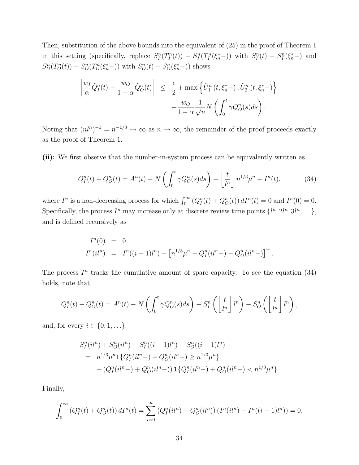Then, substitution of the above bounds into the equivalent of (25) in the proof of Theorem 1 in this setting (specifically, replace  $S_I^n(T_I^n(t)) - S_I^n(T_I^n(\xi_n^*)$ ) with  $S_I^n(t) - S_I^n(\xi_n^*)$  and  $S_{O}^{n}(T_{O}^{n}(t)) - S_{O}^{n}(T_{O}^{n}(\xi_{n}^{*}-))$  with  $S_{O}^{n}(t) - S_{O}^{n}(\xi_{n}^{*}-))$  shows

$$
\left| \frac{w_I}{\alpha} \tilde{Q}_I^n(t) - \frac{w_O}{1 - \alpha} \tilde{Q}_O^n(t) \right| \leq \frac{\epsilon}{2} + \max \left\{ \tilde{U}_1^n(t, \xi_n^*) , \tilde{U}_2^n(t, \xi_n^*) \right\} + \frac{w_O}{1 - \alpha \sqrt{n}} N \left( \int_0^t \gamma Q_O^n(s) ds \right).
$$

Noting that  $(nl^n)^{-1} = n^{-1/3} \to \infty$  as  $n \to \infty$ , the remainder of the proof proceeds exactly as the proof of Theorem 1.

(ii): We first observe that the number-in-system process can be equivalently written as

$$
Q_I^n(t) + Q_O^n(t) = A^n(t) - N\left(\int_0^t \gamma Q_O^n(s)ds\right) - \left[\frac{t}{l^n}\right] n^{1/3} \mu^n + I^n(t),\tag{34}
$$

where  $I^n$  is a non-decreasing process for which  $\int_0^\infty (Q_I^n(t) + Q_O^n(t)) dI^n(t) = 0$  and  $I^n(0) = 0$ . Specifically, the process  $I^n$  may increase only at discrete review time points  $\{l^n, 2l^n, 3l^n, \ldots\}$ , and is defined recursively as

$$
I^{n}(0) = 0
$$
  
\n
$$
I^{n}(il^{n}) = I^{n}((i - 1)l^{n}) + [n^{1/3}\mu^{n} - Q_{I}^{n}(il^{n}) - Q_{O}^{n}(il^{n})]^{+}.
$$

The process  $I<sup>n</sup>$  tracks the cumulative amount of spare capacity. To see the equation (34) holds, note that

$$
Q_I^n(t) + Q_O^n(t) = A^n(t) - N\left(\int_0^t \gamma Q_O^n(s)ds\right) - S_I^n\left(\left\lfloor\frac{t}{l^n}\right\rfloor l^n\right) - S_O^n\left(\left\lfloor\frac{t}{l^n}\right\rfloor l^n\right),
$$

and, for every  $i \in \{0, 1, ...\}$ ,

$$
S_I^n(il^n) + S_O^n(il^n) - S_I^n((i-1)l^n) - S_O^n((i-1)l^n)
$$
  
=  $n^{1/3} \mu^n \mathbf{1} \{ Q_I^n(il^n-) + Q_O^n(il^n-) \ge n^{1/3} \mu^n \}$   
+  $(Q_I^n(il^n-) + Q_O^n(il^n-)) \mathbf{1} \{ Q_I^n(il^n-) + Q_O^n(il^n-) < n^{1/3} \mu^n \}.$ 

Finally,

$$
\int_0^\infty \left( Q_I^n(t) + Q_O^n(t) \right) dI^n(t) = \sum_{i=0}^\infty \left( Q_I^n(i l^n) + Q_O^n(i l^n) \right) \left( I^n(i l^n) - I^n((i-1)l^n) \right) = 0.
$$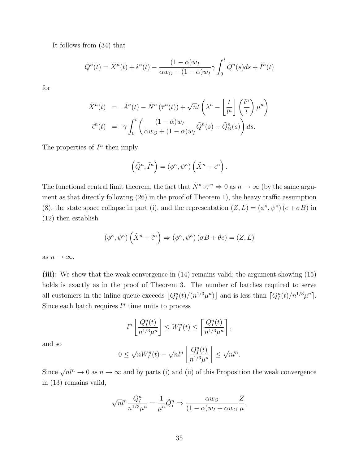It follows from (34) that

$$
\tilde{Q}^n(t) = \tilde{X}^n(t) + \tilde{\epsilon}^n(t) - \frac{(1-\alpha)w_I}{\alpha w_O + (1-\alpha)w_I} \gamma \int_0^t \tilde{Q}^n(s)ds + \tilde{I}^n(t)
$$

for

$$
\tilde{X}^n(t) = \tilde{A}^n(t) - \tilde{N}^n(\overline{\tau}^n(t)) + \sqrt{n}t\left(\lambda^n - \left\lfloor \frac{t}{l^n} \right\rfloor \left(\frac{l^n}{t}\right)\mu^n\right)
$$

$$
\tilde{\epsilon}^n(t) = \gamma \int_0^t \left(\frac{(1-\alpha)w_I}{\alpha w_O + (1-\alpha)w_I} \tilde{Q}^n(s) - \tilde{Q}^n_O(s)\right) ds.
$$

The properties of  $I<sup>n</sup>$  then imply

$$
(\tilde{Q}^n, \tilde{I}^n) = (\phi^\kappa, \psi^\kappa) (\tilde{X}^n + \epsilon^n).
$$

The functional central limit theorem, the fact that  $\tilde{N}^n \circ \overline{\tau}^n \Rightarrow 0$  as  $n \to \infty$  (by the same argument as that directly following  $(26)$  in the proof of Theorem 1), the heavy traffic assumption (8), the state space collapse in part (i), and the representation  $(Z, L) = (\phi^{\kappa}, \psi^{\kappa}) (e + \sigma B)$  in (12) then establish

$$
(\phi^{\kappa}, \psi^{\kappa})\left(\tilde{X}^{n} + \tilde{\epsilon}^{n}\right) \Rightarrow (\phi^{\kappa}, \psi^{\kappa})\left(\sigma B + \theta e\right) = (Z, L)
$$

as  $n \to \infty$ .

(iii): We show that the weak convergence in  $(14)$  remains valid; the argument showing  $(15)$ holds is exactly as in the proof of Theorem 3. The number of batches required to serve all customers in the inline queue exceeds  $\left[Q_I^n(t)/(n^{1/3}\mu^n)\right]$  and is less than  $\left[Q_I^n(t)/n^{1/3}\mu^n\right]$ . Since each batch requires  $l^n$  time units to process

$$
l^n \left[ \frac{Q_I^n(t)}{n^{1/3} \mu^n} \right] \leq W_I^n(t) \leq \left[ \frac{Q_I^n(t)}{n^{1/3} \mu^n} \right],
$$

and so

$$
0 \leq \sqrt{n}W_I^n(t) - \sqrt{n}l^n \left[ \frac{Q_I^n(t)}{n^{1/3}\mu^n} \right] \leq \sqrt{n}l^n.
$$

Since  $\sqrt{n}l^n \to 0$  as  $n \to \infty$  and by parts (i) and (ii) of this Proposition the weak convergence in (13) remains valid,

$$
\sqrt{n}l^{n}\frac{Q_{I}^{n}}{n^{1/3}\mu^{n}} = \frac{1}{\mu^{n}}\tilde{Q}_{I}^{n} \Rightarrow \frac{\alpha w_{O}}{(1-\alpha)w_{I} + \alpha w_{O}}\frac{Z}{\mu}.
$$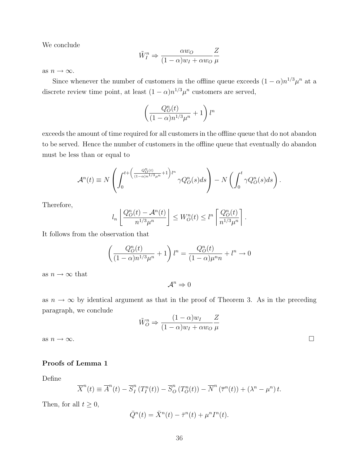We conclude

$$
\tilde{W}_I^n \Rightarrow \frac{\alpha w_O}{(1-\alpha)w_I + \alpha w_O} \frac{Z}{\mu}
$$

as  $n \to \infty$ .

Since whenever the number of customers in the offline queue exceeds  $(1 - \alpha)n^{1/3}\mu^n$  at a discrete review time point, at least  $(1 - \alpha)n^{1/3}\mu^n$  customers are served,

$$
\left(\frac{Q_O^n(t)}{(1-\alpha)n^{1/3}\mu^n}+1\right)l^n
$$

exceeds the amount of time required for all customers in the offline queue that do not abandon to be served. Hence the number of customers in the offline queue that eventually do abandon must be less than or equal to

$$
\mathcal{A}^n(t) \equiv N \left( \int_0^{t + \left( \frac{Q_O^n(t)}{(1-\alpha)n^{1/3}\mu^n} + 1 \right)l^n} \gamma Q_O^n(s) ds \right) - N \left( \int_0^t \gamma Q_O^n(s) ds \right).
$$

Therefore,

$$
l_n\left[\frac{Q_O^n(t) - A^n(t)}{n^{1/3}\mu^n}\right] \leq W_O^n(t) \leq l^n\left[\frac{Q_O^n(t)}{n^{1/3}\mu^n}\right].
$$

It follows from the observation that

$$
\left(\frac{Q_O^n(t)}{(1-\alpha)n^{1/3}\mu^n} + 1\right)l^n = \frac{Q_O^n(t)}{(1-\alpha)\mu^n n} + l^n \to 0
$$

as  $n \to \infty$  that

 $\mathcal{A}^n \Rightarrow 0$ 

as  $n \to \infty$  by identical argument as that in the proof of Theorem 3. As in the preceding paragraph, we conclude

$$
\tilde{W}_O^n \Rightarrow \frac{(1-\alpha)w_I}{(1-\alpha)w_I + \alpha w_O} \frac{Z}{\mu}
$$
\nas  $n \to \infty$ .

### Proofs of Lemma 1

Define

$$
\overline{X}^n(t) \equiv \overline{A}^n(t) - \overline{S}^n_I(T_I^n(t)) - \overline{S}^n_O(T_O^n(t)) - \overline{N}^n(\overline{\tau}^n(t)) + (\lambda^n - \mu^n)t.
$$

Then, for all  $t \geq 0$ ,

$$
\overline{Q}^n(t) = \overline{X}^n(t) - \overline{\tau}^n(t) + \mu^n I^n(t).
$$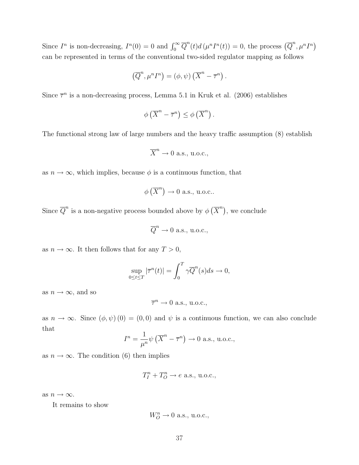Since  $I^n$  is non-decreasing,  $I^n(0) = 0$  and  $\int_0^\infty \overline{Q}^n(t) d(\mu^n I^n(t)) = 0$ , the process  $(\overline{Q}^n, \mu^n I^n)$ can be represented in terms of the conventional two-sided regulator mapping as follows

$$
(\overline{Q}^n, \mu^n I^n) = (\phi, \psi) (\overline{X}^n - \overline{\tau}^n).
$$

Since  $\bar{\tau}^n$  is a non-decreasing process, Lemma 5.1 in Kruk et al. (2006) establishes

$$
\phi\left(\overline{X}^n - \overline{\tau}^n\right) \le \phi\left(\overline{X}^n\right).
$$

The functional strong law of large numbers and the heavy traffic assumption  $(8)$  establish

$$
\overline{X}^n \to 0 \text{ a.s., u.o.c.,}
$$

as  $n \to \infty$ , which implies, because  $\phi$  is a continuous function, that

$$
\phi\left(\overline{X}^n\right) \to 0
$$
 a.s., u.o.c..

Since  $\overline{Q}^n$  is a non-negative process bounded above by  $\phi\left(\overline{X}^n\right)$ , we conclude

$$
\overline{Q}^n \to 0 \text{ a.s., u.o.c.,}
$$

as  $n \to \infty$ . It then follows that for any  $T > 0$ ,

$$
\sup_{0 \le t \le T} |\overline{\tau}^n(t)| = \int_0^T \gamma \overline{Q}^n(s) ds \to 0,
$$

as  $n \to \infty$ , and so

$$
\overline{\tau}^n \rightarrow 0
$$
 a.s., u.o.c.,

as  $n \to \infty$ . Since  $(\phi, \psi)$  (0) = (0,0) and  $\psi$  is a continuous function, we can also conclude that

$$
I^{n} = \frac{1}{\mu^{n}} \psi \left( \overline{X}^{n} - \overline{\tau}^{n} \right) \to 0 \text{ a.s., u.o.c.,}
$$

as  $n \to \infty$ . The condition (6) then implies

$$
T_I^n + T_O^n \to e \text{ a.s., u.o.c.,}
$$

as  $n \to \infty$ .

It remains to show

$$
W_O^n \rightarrow 0
$$
 a.s., u.o.c.,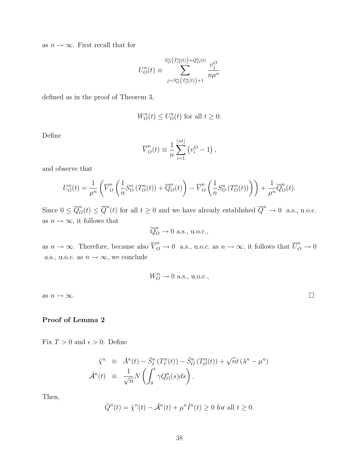as  $n \to \infty$ . First recall that for

$$
U_O^n(t) \equiv \sum_{j=S_O^n(T_O^n(t)) + 1}^{S_O^n(T_O^n(t)) + Q_O^n(t)} \frac{v_j^O}{n\mu^n}
$$

defined as in the proof of Theorem 3,

$$
W_O^n(t) \le U_O^n(t)
$$
 for all  $t \ge 0$ .

Define

$$
\overline{V}_{O}^{n}(t) \equiv \frac{1}{n} \sum_{i=1}^{\lfloor nt \rfloor} (v_{i}^{O} - 1),
$$

and observe that

$$
U_O^n(t) = \frac{1}{\mu^n} \left( \overline{V}_O^n \left( \frac{1}{n} S_O^n \left( T_O^n(t) \right) + \overline{Q}_O^n(t) \right) - \overline{V}_O^n \left( \frac{1}{n} S_O^n \left( T_O^n(t) \right) \right) \right) + \frac{1}{\mu^n} \overline{Q}_O^n(t).
$$

Since  $0 \le \overline{Q}^n_0(t) \le \overline{Q}^n(t)$  for all  $t \ge 0$  and we have already established  $\overline{Q}^n \to 0$  a.s., u.o.c. as  $n \to \infty$ , it follows that

$$
\overline{Q}^n_O \to 0 \text{ a.s., u.o.c.,}
$$

as  $n \to \infty$ . Therefore, because also  $\overline{V}_O^n \to 0$  a.s., u.o.c. as  $n \to \infty$ , it follows that  $\overline{U}_O^n \to 0$ a.s., u.o.c. as  $n \to \infty$ , we conclude

$$
W_O^n \to 0
$$
 a.s., u.o.c.,

as  $n \to \infty$ .

## Proof of Lemma 2

Fix  $T > 0$  and  $\epsilon > 0$ . Define

$$
\tilde{\chi}^n \equiv \tilde{A}^n(t) - \tilde{S}_I^n(T_I^n(t)) - \tilde{S}_O^n(T_O^n(t)) + \sqrt{n}t(\lambda^n - \mu^n)
$$
  

$$
\tilde{\mathcal{A}}^n(t) \equiv \frac{1}{\sqrt{n}} N\left(\int_0^t \gamma Q_O^n(s)ds\right).
$$

Then,

$$
\tilde{Q}^n(t) = \tilde{\chi}^n(t) - \tilde{\mathcal{A}}^n(t) + \mu^n \tilde{I}^n(t) \ge 0 \text{ for all } t \ge 0.
$$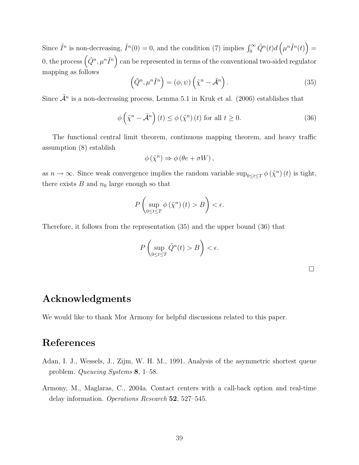Since  $\tilde{I}^n$  is non-decreasing,  $\tilde{I}^n(0) = 0$ , and the condition (7) implies  $\int_0^\infty \tilde{Q}^n(t) d\left(\mu^n \tilde{I}^n(t)\right) =$ 0, the process  $(\tilde{Q}^n, \mu^n \tilde{I}^n)$  can be represented in terms of the conventional two-sided regulator mapping as follows

$$
\left(\tilde{Q}^n, \mu^n \tilde{I}^n\right) = \left(\phi, \psi\right) \left(\tilde{\chi}^n - \tilde{\mathcal{A}}^n\right). \tag{35}
$$

Since  $\tilde{\mathcal{A}}^n$  is a non-decreasing process, Lemma 5.1 in Kruk et al. (2006) establishes that

$$
\phi\left(\tilde{\chi}^n - \tilde{\mathcal{A}}^n\right)(t) \le \phi\left(\tilde{\chi}^n\right)(t) \text{ for all } t \ge 0.
$$
\n(36)

The functional central limit theorem, continuous mapping theorem, and heavy traffic assumption (8) establish

$$
\phi\left(\tilde{\chi}^n\right) \Rightarrow \phi\left(\theta e + \sigma W\right),\,
$$

as  $n \to \infty$ . Since weak convergence implies the random variable sup<sub>0≤*t*≤*T*</sub>  $\phi(\tilde{\chi}^n)(t)$  is tight, there exists  $B$  and  $n_0$  large enough so that

$$
P\left(\sup_{0\leq t\leq T}\phi\left(\tilde{\chi}^n\right)(t)>B\right)<\epsilon.
$$

Therefore, it follows from the representation (35) and the upper bound (36) that

$$
P\left(\sup_{0\leq t\leq T}\tilde{Q}^n(t)>B\right)<\epsilon.
$$

 $\Box$ 

## Acknowledgments

We would like to thank Mor Armony for helpful discussions related to this paper.

# References

- Adan, I. J., Wessels, J., Zijm, W. H. M., 1991. Analysis of the asymmetric shortest queue problem. *Queueing Systems* 8, 1–58.
- Armony, M., Maglaras, C., 2004a. Contact centers with a call-back option and real-time delay information. *Operations Research* 52, 527–545.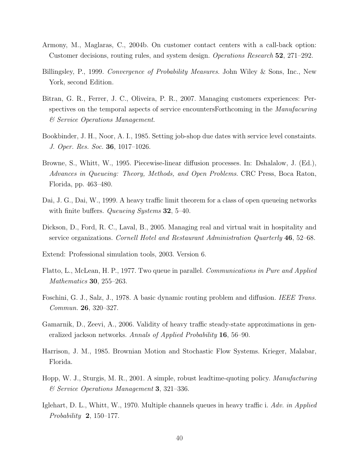- Armony, M., Maglaras, C., 2004b. On customer contact centers with a call-back option: Customer decisions, routing rules, and system design. *Operations Research* 52, 271–292.
- Billingsley, P., 1999. *Convergence of Probability Measures*. John Wiley & Sons, Inc., New York, second Edition.
- Bitran, G. R., Ferrer, J. C., Oliveira, P. R., 2007. Managing customers experiences: Perspectives on the temporal aspects of service encountersForthcoming in the *Manufacuring & Service Operations Management*.
- Bookbinder, J. H., Noor, A. I., 1985. Setting job-shop due dates with service level constaints. *J. Oper. Res. Soc.* 36, 1017–1026.
- Browne, S., Whitt, W., 1995. Piecewise-linear diffusion processes. In: Dshalalow, J. (Ed.), *Advances in Queueing: Theory, Methods, and Open Problems*. CRC Press, Boca Raton, Florida, pp. 463–480.
- Dai, J. G., Dai, W., 1999. A heavy traffic limit theorem for a class of open queueing networks with finite buffers. *Queueing Systems* 32, 5–40.
- Dickson, D., Ford, R. C., Laval, B., 2005. Managing real and virtual wait in hospitality and service organizations. *Cornell Hotel and Restaurant Administration Quarterly* 46, 52–68.
- Extend: Professional simulation tools, 2003. Version 6.
- Flatto, L., McLean, H. P., 1977. Two queue in parallel. *Communications in Pure and Applied Mathematics* 30, 255–263.
- Foschini, G. J., Salz, J., 1978. A basic dynamic routing problem and diffusion. *IEEE Trans. Commun.* 26, 320–327.
- Gamarnik, D., Zeevi, A., 2006. Validity of heavy traffic steady-state approximations in generalized jackson networks. *Annals of Applied Probability* 16, 56–90.
- Harrison, J. M., 1985. Brownian Motion and Stochastic Flow Systems. Krieger, Malabar, Florida.
- Hopp, W. J., Sturgis, M. R., 2001. A simple, robust leadtime-quoting policy. *Manufacturing & Service Operations Management* 3, 321–336.
- Iglehart, D. L., Whitt, W., 1970. Multiple channels queues in heavy traffic i. *Adv. in Applied Probability* 2, 150–177.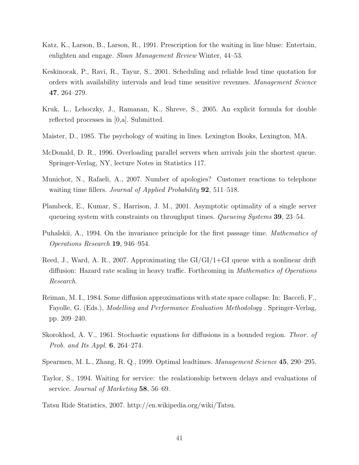- Katz, K., Larson, B., Larson, R., 1991. Prescription for the waiting in line bluse: Entertain, enlighten and engage. *Sloan Management Review* Winter, 44–53.
- Keskinocak, P., Ravi, R., Tayur, S., 2001. Scheduling and reliable lead time quotation for orders with availability intervals and lead time sensitive revenues. *Management Science* 47, 264–279.
- Kruk, L., Lehoczky, J., Ramanan, K., Shreve, S., 2005. An explicit formula for double reflected processes in [0,a]. Submitted.
- Maister, D., 1985. The psychology of waiting in lines. Lexington Books, Lexington, MA.
- McDonald, D. R., 1996. Overloading parallel servers when arrivals join the shortest queue. Springer-Verlag, NY, lecture Notes in Statistics 117.
- Munichor, N., Rafaeli, A., 2007. Number of apologies? Customer reactions to telephone waiting time fillers. *Journal of Applied Probability* 92, 511–518.
- Plambeck, E., Kumar, S., Harrison, J. M., 2001. Asymptotic optimality of a single server queueing system with constraints on throughput times. *Queueing Systems* 39, 23–54.
- Puhalskii, A., 1994. On the invariance principle for the first passage time. *Mathematics of Operations Research* 19, 946–954.
- Reed, J., Ward, A. R., 2007. Approximating the GI/GI/1+GI queue with a nonlinear drift diffusion: Hazard rate scaling in heavy traffic. Forthcoming in *Mathematics of Operations Research*.
- Reiman, M. I., 1984. Some diffusion approximations with state space collapse. In: Bacceli, F., Fayolle, G. (Eds.), *Modelling and Performance Evaluation Methodology* . Springer-Verlag, pp. 209–240.
- Skorokhod, A. V., 1961. Stochastic equations for diffusions in a bounded region. *Theor. of Prob. and Its Appl.* 6, 264–274.
- Spearmen, M. L., Zhang, R. Q., 1999. Optimal leadtimes. *Management Science* 45, 290–295.
- Taylor, S., 1994. Waiting for service: the realationship between delays and evaluations of service. *Journal of Marketing* 58, 56–69.
- Tatsu Ride Statistics, 2007. http://en.wikipedia.org/wiki/Tatsu.